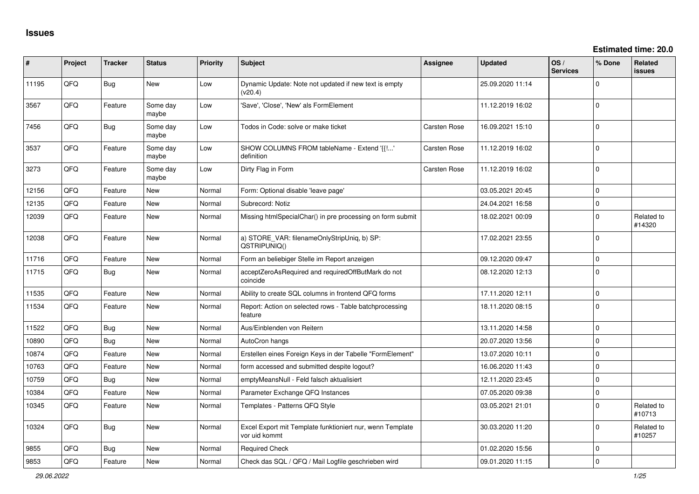**Estimated time: 20.0**

| ∦     | Project | <b>Tracker</b> | <b>Status</b>     | <b>Priority</b> | <b>Subject</b>                                                             | <b>Assignee</b> | <b>Updated</b>   | OS/<br><b>Services</b> | % Done      | Related<br>issues    |
|-------|---------|----------------|-------------------|-----------------|----------------------------------------------------------------------------|-----------------|------------------|------------------------|-------------|----------------------|
| 11195 | QFQ     | Bug            | <b>New</b>        | Low             | Dynamic Update: Note not updated if new text is empty<br>(v20.4)           |                 | 25.09.2020 11:14 |                        | $\Omega$    |                      |
| 3567  | QFQ     | Feature        | Some day<br>maybe | Low             | 'Save', 'Close', 'New' als FormElement                                     |                 | 11.12.2019 16:02 |                        | $\Omega$    |                      |
| 7456  | QFQ     | <b>Bug</b>     | Some day<br>maybe | Low             | Todos in Code: solve or make ticket                                        | Carsten Rose    | 16.09.2021 15:10 |                        | $\Omega$    |                      |
| 3537  | QFQ     | Feature        | Some day<br>maybe | Low             | SHOW COLUMNS FROM tableName - Extend '{{!'<br>definition                   | Carsten Rose    | 11.12.2019 16:02 |                        | $\mathbf 0$ |                      |
| 3273  | QFQ     | Feature        | Some day<br>maybe | Low             | Dirty Flag in Form                                                         | Carsten Rose    | 11.12.2019 16:02 |                        | $\Omega$    |                      |
| 12156 | QFQ     | Feature        | <b>New</b>        | Normal          | Form: Optional disable 'leave page'                                        |                 | 03.05.2021 20:45 |                        | $\Omega$    |                      |
| 12135 | QFQ     | Feature        | <b>New</b>        | Normal          | Subrecord: Notiz                                                           |                 | 24.04.2021 16:58 |                        | $\Omega$    |                      |
| 12039 | QFQ     | Feature        | <b>New</b>        | Normal          | Missing htmlSpecialChar() in pre processing on form submit                 |                 | 18.02.2021 00:09 |                        | $\Omega$    | Related to<br>#14320 |
| 12038 | QFQ     | Feature        | <b>New</b>        | Normal          | a) STORE_VAR: filenameOnlyStripUniq, b) SP:<br>QSTRIPUNIQ()                |                 | 17.02.2021 23:55 |                        | $\Omega$    |                      |
| 11716 | QFQ     | Feature        | <b>New</b>        | Normal          | Form an beliebiger Stelle im Report anzeigen                               |                 | 09.12.2020 09:47 |                        | $\mathbf 0$ |                      |
| 11715 | QFQ     | Bug            | New               | Normal          | acceptZeroAsRequired and requiredOffButMark do not<br>coincide             |                 | 08.12.2020 12:13 |                        | $\Omega$    |                      |
| 11535 | QFQ     | Feature        | <b>New</b>        | Normal          | Ability to create SQL columns in frontend QFQ forms                        |                 | 17.11.2020 12:11 |                        | $\Omega$    |                      |
| 11534 | QFQ     | Feature        | New               | Normal          | Report: Action on selected rows - Table batchprocessing<br>feature         |                 | 18.11.2020 08:15 |                        | $\Omega$    |                      |
| 11522 | QFQ     | Bug            | <b>New</b>        | Normal          | Aus/Einblenden von Reitern                                                 |                 | 13.11.2020 14:58 |                        | $\Omega$    |                      |
| 10890 | QFQ     | Bug            | <b>New</b>        | Normal          | AutoCron hangs                                                             |                 | 20.07.2020 13:56 |                        | $\Omega$    |                      |
| 10874 | QFQ     | Feature        | <b>New</b>        | Normal          | Erstellen eines Foreign Keys in der Tabelle "FormElement"                  |                 | 13.07.2020 10:11 |                        | $\Omega$    |                      |
| 10763 | QFQ     | Feature        | <b>New</b>        | Normal          | form accessed and submitted despite logout?                                |                 | 16.06.2020 11:43 |                        | $\Omega$    |                      |
| 10759 | QFQ     | Bug            | <b>New</b>        | Normal          | emptyMeansNull - Feld falsch aktualisiert                                  |                 | 12.11.2020 23:45 |                        | $\Omega$    |                      |
| 10384 | QFQ     | Feature        | New               | Normal          | Parameter Exchange QFQ Instances                                           |                 | 07.05.2020 09:38 |                        | $\mathbf 0$ |                      |
| 10345 | QFQ     | Feature        | New               | Normal          | Templates - Patterns QFQ Style                                             |                 | 03.05.2021 21:01 |                        | $\Omega$    | Related to<br>#10713 |
| 10324 | QFQ     | Bug            | <b>New</b>        | Normal          | Excel Export mit Template funktioniert nur, wenn Template<br>vor uid kommt |                 | 30.03.2020 11:20 |                        | $\Omega$    | Related to<br>#10257 |
| 9855  | QFQ     | Bug            | <b>New</b>        | Normal          | <b>Required Check</b>                                                      |                 | 01.02.2020 15:56 |                        | $\Omega$    |                      |
| 9853  | QFQ     | Feature        | <b>New</b>        | Normal          | Check das SQL / QFQ / Mail Logfile geschrieben wird                        |                 | 09.01.2020 11:15 |                        | $\Omega$    |                      |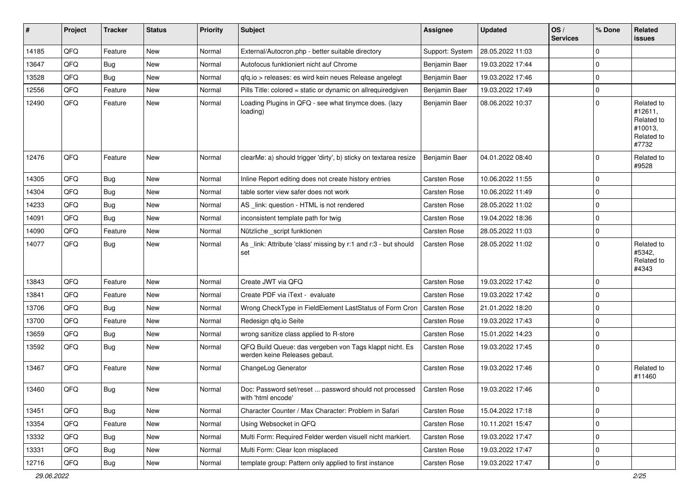| #     | Project | <b>Tracker</b> | <b>Status</b> | <b>Priority</b> | <b>Subject</b>                                                                           | Assignee            | <b>Updated</b>   | OS/<br><b>Services</b> | % Done      | Related<br>issues                                                     |
|-------|---------|----------------|---------------|-----------------|------------------------------------------------------------------------------------------|---------------------|------------------|------------------------|-------------|-----------------------------------------------------------------------|
| 14185 | QFQ     | Feature        | New           | Normal          | External/Autocron.php - better suitable directory                                        | Support: System     | 28.05.2022 11:03 |                        | $\mathbf 0$ |                                                                       |
| 13647 | QFQ     | <b>Bug</b>     | New           | Normal          | Autofocus funktioniert nicht auf Chrome                                                  | Benjamin Baer       | 19.03.2022 17:44 |                        | $\mathbf 0$ |                                                                       |
| 13528 | QFQ     | <b>Bug</b>     | New           | Normal          | gfg.io > releases: es wird kein neues Release angelegt                                   | Benjamin Baer       | 19.03.2022 17:46 |                        | $\mathbf 0$ |                                                                       |
| 12556 | QFQ     | Feature        | New           | Normal          | Pills Title: colored = static or dynamic on allrequiredgiven                             | Benjamin Baer       | 19.03.2022 17:49 |                        | $\mathbf 0$ |                                                                       |
| 12490 | QFQ     | Feature        | New           | Normal          | Loading Plugins in QFQ - see what tinymce does. (lazy<br>loading)                        | Benjamin Baer       | 08.06.2022 10:37 |                        | $\mathbf 0$ | Related to<br>#12611,<br>Related to<br>#10013,<br>Related to<br>#7732 |
| 12476 | QFQ     | Feature        | New           | Normal          | clearMe: a) should trigger 'dirty', b) sticky on textarea resize                         | Benjamin Baer       | 04.01.2022 08:40 |                        | $\Omega$    | Related to<br>#9528                                                   |
| 14305 | QFQ     | <b>Bug</b>     | New           | Normal          | Inline Report editing does not create history entries                                    | Carsten Rose        | 10.06.2022 11:55 |                        | $\mathbf 0$ |                                                                       |
| 14304 | QFQ     | <b>Bug</b>     | New           | Normal          | table sorter view safer does not work                                                    | <b>Carsten Rose</b> | 10.06.2022 11:49 |                        | $\mathbf 0$ |                                                                       |
| 14233 | QFQ     | <b>Bug</b>     | New           | Normal          | AS _link: question - HTML is not rendered                                                | Carsten Rose        | 28.05.2022 11:02 |                        | $\mathbf 0$ |                                                                       |
| 14091 | QFQ     | <b>Bug</b>     | New           | Normal          | inconsistent template path for twig                                                      | <b>Carsten Rose</b> | 19.04.2022 18:36 |                        | $\mathbf 0$ |                                                                       |
| 14090 | QFQ     | Feature        | New           | Normal          | Nützliche _script funktionen                                                             | Carsten Rose        | 28.05.2022 11:03 |                        | $\mathbf 0$ |                                                                       |
| 14077 | QFQ     | Bug            | New           | Normal          | As _link: Attribute 'class' missing by r:1 and r:3 - but should<br>set                   | <b>Carsten Rose</b> | 28.05.2022 11:02 |                        | $\mathbf 0$ | Related to<br>#5342,<br>Related to<br>#4343                           |
| 13843 | QFQ     | Feature        | New           | Normal          | Create JWT via QFQ                                                                       | Carsten Rose        | 19.03.2022 17:42 |                        | $\Omega$    |                                                                       |
| 13841 | QFQ     | Feature        | New           | Normal          | Create PDF via iText - evaluate                                                          | Carsten Rose        | 19.03.2022 17:42 |                        | $\mathbf 0$ |                                                                       |
| 13706 | QFQ     | <b>Bug</b>     | New           | Normal          | Wrong CheckType in FieldElement LastStatus of Form Cron                                  | Carsten Rose        | 21.01.2022 18:20 |                        | $\mathbf 0$ |                                                                       |
| 13700 | QFQ     | Feature        | New           | Normal          | Redesign gfg.io Seite                                                                    | <b>Carsten Rose</b> | 19.03.2022 17:43 |                        | $\mathbf 0$ |                                                                       |
| 13659 | QFQ     | <b>Bug</b>     | New           | Normal          | wrong sanitize class applied to R-store                                                  | Carsten Rose        | 15.01.2022 14:23 |                        | $\mathbf 0$ |                                                                       |
| 13592 | QFQ     | <b>Bug</b>     | New           | Normal          | QFQ Build Queue: das vergeben von Tags klappt nicht. Es<br>werden keine Releases gebaut. | Carsten Rose        | 19.03.2022 17:45 |                        | $\mathbf 0$ |                                                                       |
| 13467 | QFQ     | Feature        | New           | Normal          | ChangeLog Generator                                                                      | Carsten Rose        | 19.03.2022 17:46 |                        | $\mathbf 0$ | Related to<br>#11460                                                  |
| 13460 | QFQ     | <b>Bug</b>     | New           | Normal          | Doc: Password set/reset  password should not processed<br>with 'html encode'             | Carsten Rose        | 19.03.2022 17:46 |                        | $\mathbf 0$ |                                                                       |
| 13451 | QFQ     | <b>Bug</b>     | New           | Normal          | Character Counter / Max Character: Problem in Safari                                     | Carsten Rose        | 15.04.2022 17:18 |                        | $\mathbf 0$ |                                                                       |
| 13354 | QFQ     | Feature        | New           | Normal          | Using Websocket in QFQ                                                                   | Carsten Rose        | 10.11.2021 15:47 |                        | $\mathbf 0$ |                                                                       |
| 13332 | QFQ     | <b>Bug</b>     | New           | Normal          | Multi Form: Required Felder werden visuell nicht markiert.                               | Carsten Rose        | 19.03.2022 17:47 |                        | $\mathbf 0$ |                                                                       |
| 13331 | QFQ     | <b>Bug</b>     | New           | Normal          | Multi Form: Clear Icon misplaced                                                         | Carsten Rose        | 19.03.2022 17:47 |                        | $\mathbf 0$ |                                                                       |
| 12716 | QFQ     | <b>Bug</b>     | New           | Normal          | template group: Pattern only applied to first instance                                   | Carsten Rose        | 19.03.2022 17:47 |                        | $\mathbf 0$ |                                                                       |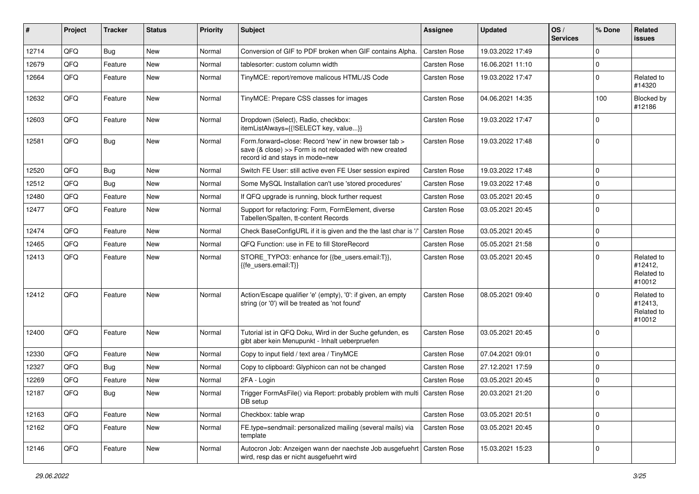| #     | Project | <b>Tracker</b> | <b>Status</b> | <b>Priority</b> | Subject                                                                                                                                             | Assignee     | <b>Updated</b>   | OS/<br><b>Services</b> | % Done      | Related<br><b>issues</b>                      |
|-------|---------|----------------|---------------|-----------------|-----------------------------------------------------------------------------------------------------------------------------------------------------|--------------|------------------|------------------------|-------------|-----------------------------------------------|
| 12714 | QFQ     | Bug            | New           | Normal          | Conversion of GIF to PDF broken when GIF contains Alpha.                                                                                            | Carsten Rose | 19.03.2022 17:49 |                        | $\Omega$    |                                               |
| 12679 | QFQ     | Feature        | New           | Normal          | tablesorter: custom column width                                                                                                                    | Carsten Rose | 16.06.2021 11:10 |                        | $\mathbf 0$ |                                               |
| 12664 | QFQ     | Feature        | New           | Normal          | TinyMCE: report/remove malicous HTML/JS Code                                                                                                        | Carsten Rose | 19.03.2022 17:47 |                        | $\Omega$    | Related to<br>#14320                          |
| 12632 | QFQ     | Feature        | New           | Normal          | TinyMCE: Prepare CSS classes for images                                                                                                             | Carsten Rose | 04.06.2021 14:35 |                        | 100         | Blocked by<br>#12186                          |
| 12603 | QFQ     | Feature        | New           | Normal          | Dropdown (Select), Radio, checkbox:<br>itemListAlways={{!SELECT key, value}}                                                                        | Carsten Rose | 19.03.2022 17:47 |                        | $\Omega$    |                                               |
| 12581 | QFQ     | <b>Bug</b>     | New           | Normal          | Form.forward=close: Record 'new' in new browser tab ><br>save (& close) >> Form is not reloaded with new created<br>record id and stays in mode=new | Carsten Rose | 19.03.2022 17:48 |                        | l 0         |                                               |
| 12520 | QFQ     | Bug            | <b>New</b>    | Normal          | Switch FE User: still active even FE User session expired                                                                                           | Carsten Rose | 19.03.2022 17:48 |                        | $\mathbf 0$ |                                               |
| 12512 | QFQ     | Bug            | New           | Normal          | Some MySQL Installation can't use 'stored procedures'                                                                                               | Carsten Rose | 19.03.2022 17:48 |                        | $\mathbf 0$ |                                               |
| 12480 | QFQ     | Feature        | New           | Normal          | If QFQ upgrade is running, block further request                                                                                                    | Carsten Rose | 03.05.2021 20:45 |                        | $\Omega$    |                                               |
| 12477 | QFQ     | Feature        | New           | Normal          | Support for refactoring: Form, FormElement, diverse<br>Tabellen/Spalten, tt-content Records                                                         | Carsten Rose | 03.05.2021 20:45 |                        | $\Omega$    |                                               |
| 12474 | QFQ     | Feature        | New           | Normal          | Check BaseConfigURL if it is given and the the last char is '/                                                                                      | Carsten Rose | 03.05.2021 20:45 |                        | $\mathbf 0$ |                                               |
| 12465 | QFQ     | Feature        | New           | Normal          | QFQ Function: use in FE to fill StoreRecord                                                                                                         | Carsten Rose | 05.05.2021 21:58 |                        | $\mathbf 0$ |                                               |
| 12413 | QFQ     | Feature        | New           | Normal          | STORE_TYPO3: enhance for {{be_users.email:T}},<br>{{fe_users.email:T}}                                                                              | Carsten Rose | 03.05.2021 20:45 |                        | $\Omega$    | Related to<br>#12412,<br>Related to<br>#10012 |
| 12412 | QFQ     | Feature        | New           | Normal          | Action/Escape qualifier 'e' (empty), '0': if given, an empty<br>string (or '0') will be treated as 'not found'                                      | Carsten Rose | 08.05.2021 09:40 |                        | $\Omega$    | Related to<br>#12413,<br>Related to<br>#10012 |
| 12400 | QFQ     | Feature        | New           | Normal          | Tutorial ist in QFQ Doku, Wird in der Suche gefunden, es<br>gibt aber kein Menupunkt - Inhalt ueberpruefen                                          | Carsten Rose | 03.05.2021 20:45 |                        | $\Omega$    |                                               |
| 12330 | QFQ     | Feature        | New           | Normal          | Copy to input field / text area / TinyMCE                                                                                                           | Carsten Rose | 07.04.2021 09:01 |                        | $\Omega$    |                                               |
| 12327 | QFQ     | Bug            | New           | Normal          | Copy to clipboard: Glyphicon can not be changed                                                                                                     | Carsten Rose | 27.12.2021 17:59 |                        | $\Omega$    |                                               |
| 12269 | QFQ     | Feature        | New           | Normal          | 2FA - Login                                                                                                                                         | Carsten Rose | 03.05.2021 20:45 |                        | $\mathbf 0$ |                                               |
| 12187 | QFG     | Bug            | New           | Normal          | Trigger FormAsFile() via Report: probably problem with multi<br>DB setup                                                                            | Carsten Rose | 20.03.2021 21:20 |                        | $\Omega$    |                                               |
| 12163 | QFQ     | Feature        | New           | Normal          | Checkbox: table wrap                                                                                                                                | Carsten Rose | 03.05.2021 20:51 |                        | $\mathbf 0$ |                                               |
| 12162 | QFQ     | Feature        | New           | Normal          | FE.type=sendmail: personalized mailing (several mails) via<br>template                                                                              | Carsten Rose | 03.05.2021 20:45 |                        | $\mathbf 0$ |                                               |
| 12146 | QFQ     | Feature        | New           | Normal          | Autocron Job: Anzeigen wann der naechste Job ausgefuehrt   Carsten Rose<br>wird, resp das er nicht ausgefuehrt wird                                 |              | 15.03.2021 15:23 |                        | 0           |                                               |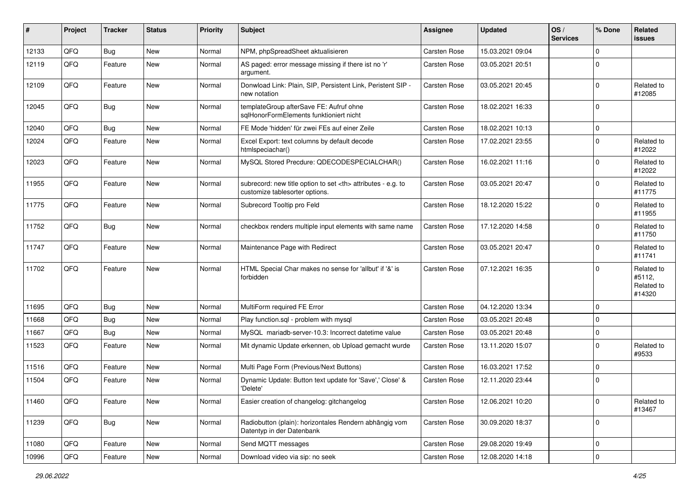| #     | Project | <b>Tracker</b> | <b>Status</b> | <b>Priority</b> | Subject                                                                                              | <b>Assignee</b>                                        | <b>Updated</b>   | OS/<br><b>Services</b> | % Done              | Related<br>issues                            |                      |
|-------|---------|----------------|---------------|-----------------|------------------------------------------------------------------------------------------------------|--------------------------------------------------------|------------------|------------------------|---------------------|----------------------------------------------|----------------------|
| 12133 | QFQ     | <b>Bug</b>     | New           | Normal          | NPM, phpSpreadSheet aktualisieren                                                                    | Carsten Rose                                           | 15.03.2021 09:04 |                        | $\Omega$            |                                              |                      |
| 12119 | QFQ     | Feature        | New           | Normal          | AS paged: error message missing if there ist no 'r'<br>argument.                                     | Carsten Rose                                           | 03.05.2021 20:51 |                        | $\mathbf 0$         |                                              |                      |
| 12109 | QFQ     | Feature        | <b>New</b>    | Normal          | Donwload Link: Plain, SIP, Persistent Link, Peristent SIP -<br>new notation                          | Carsten Rose                                           | 03.05.2021 20:45 |                        | $\Omega$            | Related to<br>#12085                         |                      |
| 12045 | QFQ     | Bug            | New           | Normal          | templateGroup afterSave FE: Aufruf ohne<br>salHonorFormElements funktioniert nicht                   | Carsten Rose                                           | 18.02.2021 16:33 |                        | $\overline{0}$      |                                              |                      |
| 12040 | QFQ     | <b>Bug</b>     | New           | Normal          | FE Mode 'hidden' für zwei FEs auf einer Zeile                                                        | Carsten Rose                                           | 18.02.2021 10:13 |                        | $\Omega$            |                                              |                      |
| 12024 | QFQ     | Feature        | New           | Normal          | Excel Export: text columns by default decode<br>htmlspeciachar()                                     | <b>Carsten Rose</b>                                    | 17.02.2021 23:55 |                        | $\Omega$            | Related to<br>#12022                         |                      |
| 12023 | QFQ     | Feature        | <b>New</b>    | Normal          | MySQL Stored Precdure: QDECODESPECIALCHAR()                                                          | Carsten Rose                                           | 16.02.2021 11:16 |                        | $\Omega$            | Related to<br>#12022                         |                      |
| 11955 | QFQ     | Feature        | New           | Normal          | subrecord: new title option to set <th> attributes - e.g. to<br/>customize tablesorter options.</th> | attributes - e.g. to<br>customize tablesorter options. | Carsten Rose     | 03.05.2021 20:47       |                     | $\Omega$                                     | Related to<br>#11775 |
| 11775 | QFQ     | Feature        | New           | Normal          | Subrecord Tooltip pro Feld                                                                           | Carsten Rose                                           | 18.12.2020 15:22 |                        | $\Omega$            | Related to<br>#11955                         |                      |
| 11752 | QFQ     | Bug            | New           | Normal          | checkbox renders multiple input elements with same name                                              | Carsten Rose                                           | 17.12.2020 14:58 |                        | $\Omega$            | Related to<br>#11750                         |                      |
| 11747 | QFQ     | Feature        | New           | Normal          | Maintenance Page with Redirect                                                                       | Carsten Rose                                           | 03.05.2021 20:47 |                        | $\Omega$            | Related to<br>#11741                         |                      |
| 11702 | QFQ     | Feature        | New           | Normal          | HTML Special Char makes no sense for 'allbut' if '&' is<br>forbidden                                 | Carsten Rose                                           | 07.12.2021 16:35 |                        | $\Omega$            | Related to<br>#5112,<br>Related to<br>#14320 |                      |
| 11695 | QFQ     | Bug            | <b>New</b>    | Normal          | MultiForm required FE Error                                                                          | Carsten Rose                                           | 04.12.2020 13:34 |                        | $\Omega$            |                                              |                      |
| 11668 | QFQ     | <b>Bug</b>     | New           | Normal          | Play function.sql - problem with mysql                                                               | Carsten Rose                                           | 03.05.2021 20:48 |                        | $\mathbf 0$         |                                              |                      |
| 11667 | QFQ     | <b>Bug</b>     | New           | Normal          | MySQL mariadb-server-10.3: Incorrect datetime value                                                  | Carsten Rose                                           | 03.05.2021 20:48 |                        | $\mathbf 0$         |                                              |                      |
| 11523 | QFQ     | Feature        | New           | Normal          | Mit dynamic Update erkennen, ob Upload gemacht wurde                                                 | Carsten Rose                                           | 13.11.2020 15:07 |                        | $\Omega$            | Related to<br>#9533                          |                      |
| 11516 | QFQ     | Feature        | New           | Normal          | Multi Page Form (Previous/Next Buttons)                                                              | Carsten Rose                                           | 16.03.2021 17:52 |                        | $\Omega$            |                                              |                      |
| 11504 | QFQ     | Feature        | <b>New</b>    | Normal          | Dynamic Update: Button text update for 'Save',' Close' &<br>'Delete'                                 | Carsten Rose                                           | 12.11.2020 23:44 |                        | 0                   |                                              |                      |
| 11460 | QFQ     | Feature        | New           | Normal          | Easier creation of changelog: gitchangelog                                                           | Carsten Rose                                           | 12.06.2021 10:20 |                        | 0                   | Related to<br>#13467                         |                      |
| 11239 | QFQ     | <b>Bug</b>     | New           | Normal          | Radiobutton (plain): horizontales Rendern abhängig vom<br>Datentyp in der Datenbank                  | Carsten Rose                                           | 30.09.2020 18:37 |                        | 0                   |                                              |                      |
| 11080 | QFQ     | Feature        | New           | Normal          | Send MQTT messages                                                                                   | Carsten Rose                                           | 29.08.2020 19:49 |                        | 0                   |                                              |                      |
| 10996 | QFQ     | Feature        | New           | Normal          | Download video via sip: no seek                                                                      | Carsten Rose                                           | 12.08.2020 14:18 |                        | $\mathsf{O}\xspace$ |                                              |                      |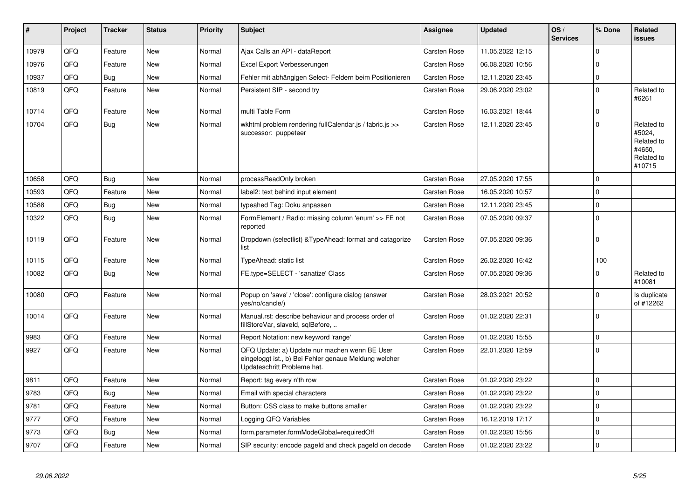| ∦     | Project | <b>Tracker</b> | <b>Status</b> | <b>Priority</b> | <b>Subject</b>                                                                                                                        | Assignee            | <b>Updated</b>   | OS/<br><b>Services</b> | % Done      | Related<br><b>issues</b>                                             |
|-------|---------|----------------|---------------|-----------------|---------------------------------------------------------------------------------------------------------------------------------------|---------------------|------------------|------------------------|-------------|----------------------------------------------------------------------|
| 10979 | QFQ     | Feature        | <b>New</b>    | Normal          | Ajax Calls an API - dataReport                                                                                                        | Carsten Rose        | 11.05.2022 12:15 |                        | $\Omega$    |                                                                      |
| 10976 | QFQ     | Feature        | <b>New</b>    | Normal          | Excel Export Verbesserungen                                                                                                           | Carsten Rose        | 06.08.2020 10:56 |                        | $\Omega$    |                                                                      |
| 10937 | QFQ     | Bug            | <b>New</b>    | Normal          | Fehler mit abhängigen Select- Feldern beim Positionieren                                                                              | Carsten Rose        | 12.11.2020 23:45 |                        | $\pmb{0}$   |                                                                      |
| 10819 | QFQ     | Feature        | <b>New</b>    | Normal          | Persistent SIP - second try                                                                                                           | Carsten Rose        | 29.06.2020 23:02 |                        | $\mathbf 0$ | Related to<br>#6261                                                  |
| 10714 | QFQ     | Feature        | <b>New</b>    | Normal          | multi Table Form                                                                                                                      | Carsten Rose        | 16.03.2021 18:44 |                        | $\mathbf 0$ |                                                                      |
| 10704 | QFQ     | Bug            | New           | Normal          | wkhtml problem rendering fullCalendar.js / fabric.js >><br>successor: puppeteer                                                       | Carsten Rose        | 12.11.2020 23:45 |                        | $\mathbf 0$ | Related to<br>#5024,<br>Related to<br>#4650,<br>Related to<br>#10715 |
| 10658 | QFQ     | Bug            | New           | Normal          | processReadOnly broken                                                                                                                | Carsten Rose        | 27.05.2020 17:55 |                        | $\Omega$    |                                                                      |
| 10593 | QFQ     | Feature        | <b>New</b>    | Normal          | label2: text behind input element                                                                                                     | Carsten Rose        | 16.05.2020 10:57 |                        | $\Omega$    |                                                                      |
| 10588 | QFQ     | <b>Bug</b>     | <b>New</b>    | Normal          | typeahed Tag: Doku anpassen                                                                                                           | Carsten Rose        | 12.11.2020 23:45 |                        | $\Omega$    |                                                                      |
| 10322 | QFQ     | Bug            | <b>New</b>    | Normal          | FormElement / Radio: missing column 'enum' >> FE not<br>reported                                                                      | Carsten Rose        | 07.05.2020 09:37 |                        | $\Omega$    |                                                                      |
| 10119 | QFQ     | Feature        | <b>New</b>    | Normal          | Dropdown (selectlist) & Type Ahead: format and catagorize<br>list                                                                     | Carsten Rose        | 07.05.2020 09:36 |                        | $\mathbf 0$ |                                                                      |
| 10115 | QFQ     | Feature        | <b>New</b>    | Normal          | TypeAhead: static list                                                                                                                | Carsten Rose        | 26.02.2020 16:42 |                        | 100         |                                                                      |
| 10082 | QFQ     | <b>Bug</b>     | <b>New</b>    | Normal          | FE.type=SELECT - 'sanatize' Class                                                                                                     | Carsten Rose        | 07.05.2020 09:36 |                        | $\Omega$    | Related to<br>#10081                                                 |
| 10080 | QFQ     | Feature        | <b>New</b>    | Normal          | Popup on 'save' / 'close': configure dialog (answer<br>yes/no/cancle/)                                                                | Carsten Rose        | 28.03.2021 20:52 |                        | $\Omega$    | Is duplicate<br>of #12262                                            |
| 10014 | QFQ     | Feature        | <b>New</b>    | Normal          | Manual.rst: describe behaviour and process order of<br>fillStoreVar, slaveId, sqlBefore,                                              | Carsten Rose        | 01.02.2020 22:31 |                        | $\Omega$    |                                                                      |
| 9983  | QFQ     | Feature        | <b>New</b>    | Normal          | Report Notation: new keyword 'range'                                                                                                  | Carsten Rose        | 01.02.2020 15:55 |                        | $\Omega$    |                                                                      |
| 9927  | QFQ     | Feature        | <b>New</b>    | Normal          | QFQ Update: a) Update nur machen wenn BE User<br>eingeloggt ist., b) Bei Fehler genaue Meldung welcher<br>Updateschritt Probleme hat. | Carsten Rose        | 22.01.2020 12:59 |                        | $\Omega$    |                                                                      |
| 9811  | QFQ     | Feature        | <b>New</b>    | Normal          | Report: tag every n'th row                                                                                                            | Carsten Rose        | 01.02.2020 23:22 |                        | $\Omega$    |                                                                      |
| 9783  | QFQ     | <b>Bug</b>     | <b>New</b>    | Normal          | Email with special characters                                                                                                         | Carsten Rose        | 01.02.2020 23:22 |                        | $\mathbf 0$ |                                                                      |
| 9781  | QFQ     | Feature        | <b>New</b>    | Normal          | Button: CSS class to make buttons smaller                                                                                             | Carsten Rose        | 01.02.2020 23:22 |                        | $\Omega$    |                                                                      |
| 9777  | QFQ     | Feature        | <b>New</b>    | Normal          | Logging QFQ Variables                                                                                                                 | Carsten Rose        | 16.12.2019 17:17 |                        | $\mathbf 0$ |                                                                      |
| 9773  | QFQ     | Bug            | <b>New</b>    | Normal          | form.parameter.formModeGlobal=requiredOff                                                                                             | Carsten Rose        | 01.02.2020 15:56 |                        | $\mathbf 0$ |                                                                      |
| 9707  | QFQ     | Feature        | <b>New</b>    | Normal          | SIP security: encode pageld and check pageld on decode                                                                                | <b>Carsten Rose</b> | 01.02.2020 23:22 |                        | $\mathbf 0$ |                                                                      |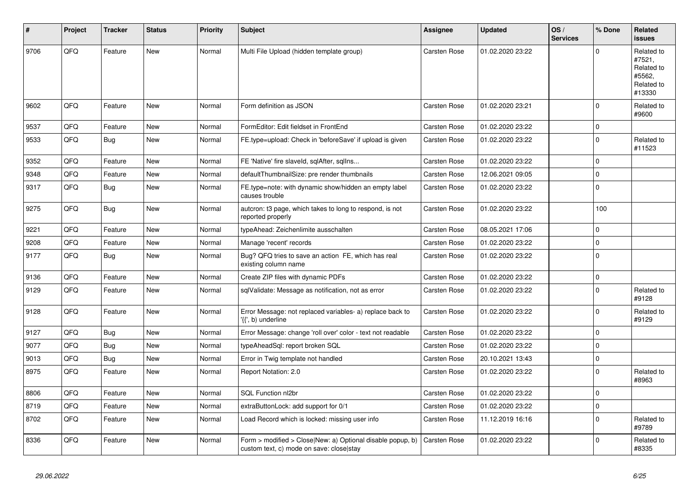| #    | Project | <b>Tracker</b> | <b>Status</b> | <b>Priority</b> | <b>Subject</b>                                                                                         | Assignee     | <b>Updated</b>   | OS/<br><b>Services</b> | % Done      | Related<br><b>issues</b>                                             |
|------|---------|----------------|---------------|-----------------|--------------------------------------------------------------------------------------------------------|--------------|------------------|------------------------|-------------|----------------------------------------------------------------------|
| 9706 | QFQ     | Feature        | <b>New</b>    | Normal          | Multi File Upload (hidden template group)                                                              | Carsten Rose | 01.02.2020 23:22 |                        | $\Omega$    | Related to<br>#7521,<br>Related to<br>#5562,<br>Related to<br>#13330 |
| 9602 | QFQ     | Feature        | <b>New</b>    | Normal          | Form definition as JSON                                                                                | Carsten Rose | 01.02.2020 23:21 |                        | $\Omega$    | Related to<br>#9600                                                  |
| 9537 | QFQ     | Feature        | <b>New</b>    | Normal          | FormEditor: Edit fieldset in FrontEnd                                                                  | Carsten Rose | 01.02.2020 23:22 |                        | $\mathbf 0$ |                                                                      |
| 9533 | QFQ     | <b>Bug</b>     | New           | Normal          | FE.type=upload: Check in 'beforeSave' if upload is given                                               | Carsten Rose | 01.02.2020 23:22 |                        | $\Omega$    | Related to<br>#11523                                                 |
| 9352 | QFQ     | Feature        | <b>New</b>    | Normal          | FE 'Native' fire slaveld, sqlAfter, sqllns                                                             | Carsten Rose | 01.02.2020 23:22 |                        | $\mathbf 0$ |                                                                      |
| 9348 | QFQ     | Feature        | <b>New</b>    | Normal          | defaultThumbnailSize: pre render thumbnails                                                            | Carsten Rose | 12.06.2021 09:05 |                        | $\Omega$    |                                                                      |
| 9317 | QFQ     | Bug            | New           | Normal          | FE.type=note: with dynamic show/hidden an empty label<br>causes trouble                                | Carsten Rose | 01.02.2020 23:22 |                        | $\Omega$    |                                                                      |
| 9275 | QFQ     | <b>Bug</b>     | <b>New</b>    | Normal          | autcron: t3 page, which takes to long to respond, is not<br>reported properly                          | Carsten Rose | 01.02.2020 23:22 |                        | 100         |                                                                      |
| 9221 | QFQ     | Feature        | <b>New</b>    | Normal          | typeAhead: Zeichenlimite ausschalten                                                                   | Carsten Rose | 08.05.2021 17:06 |                        | $\mathbf 0$ |                                                                      |
| 9208 | QFQ     | Feature        | <b>New</b>    | Normal          | Manage 'recent' records                                                                                | Carsten Rose | 01.02.2020 23:22 |                        | $\mathbf 0$ |                                                                      |
| 9177 | QFQ     | Bug            | New           | Normal          | Bug? QFQ tries to save an action FE, which has real<br>existing column name                            | Carsten Rose | 01.02.2020 23:22 |                        | $\mathbf 0$ |                                                                      |
| 9136 | QFQ     | Feature        | <b>New</b>    | Normal          | Create ZIP files with dynamic PDFs                                                                     | Carsten Rose | 01.02.2020 23:22 |                        | $\mathbf 0$ |                                                                      |
| 9129 | QFQ     | Feature        | New           | Normal          | sqlValidate: Message as notification, not as error                                                     | Carsten Rose | 01.02.2020 23:22 |                        | $\mathbf 0$ | Related to<br>#9128                                                  |
| 9128 | QFQ     | Feature        | <b>New</b>    | Normal          | Error Message: not replaced variables- a) replace back to<br>'{{', b) underline                        | Carsten Rose | 01.02.2020 23:22 |                        | $\Omega$    | Related to<br>#9129                                                  |
| 9127 | QFQ     | <b>Bug</b>     | <b>New</b>    | Normal          | Error Message: change 'roll over' color - text not readable                                            | Carsten Rose | 01.02.2020 23:22 |                        | $\Omega$    |                                                                      |
| 9077 | QFQ     | <b>Bug</b>     | <b>New</b>    | Normal          | typeAheadSql: report broken SQL                                                                        | Carsten Rose | 01.02.2020 23:22 |                        | 0           |                                                                      |
| 9013 | QFQ     | Bug            | <b>New</b>    | Normal          | Error in Twig template not handled                                                                     | Carsten Rose | 20.10.2021 13:43 |                        | $\mathbf 0$ |                                                                      |
| 8975 | QFQ     | Feature        | <b>New</b>    | Normal          | Report Notation: 2.0                                                                                   | Carsten Rose | 01.02.2020 23:22 |                        | $\mathbf 0$ | Related to<br>#8963                                                  |
| 8806 | QFQ     | Feature        | <b>New</b>    | Normal          | <b>SQL Function nl2br</b>                                                                              | Carsten Rose | 01.02.2020 23:22 |                        | $\mathbf 0$ |                                                                      |
| 8719 | QFQ     | Feature        | <b>New</b>    | Normal          | extraButtonLock: add support for 0/1                                                                   | Carsten Rose | 01.02.2020 23:22 |                        | $\mathbf 0$ |                                                                      |
| 8702 | QFQ     | Feature        | <b>New</b>    | Normal          | Load Record which is locked: missing user info                                                         | Carsten Rose | 11.12.2019 16:16 |                        | $\mathbf 0$ | Related to<br>#9789                                                  |
| 8336 | QFQ     | Feature        | <b>New</b>    | Normal          | Form > modified > Close New: a) Optional disable popup, b)<br>custom text, c) mode on save: close stay | Carsten Rose | 01.02.2020 23:22 |                        | $\Omega$    | Related to<br>#8335                                                  |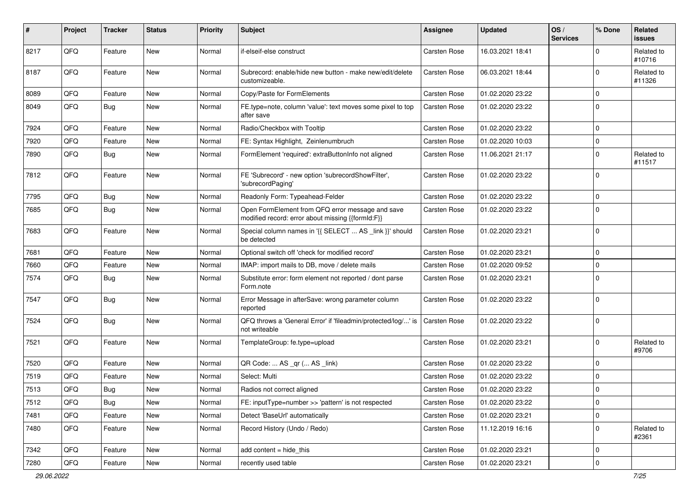| $\sharp$ | Project | <b>Tracker</b> | <b>Status</b> | <b>Priority</b> | Subject                                                                                               | Assignee            | <b>Updated</b>   | OS/<br><b>Services</b> | % Done      | Related<br>issues    |
|----------|---------|----------------|---------------|-----------------|-------------------------------------------------------------------------------------------------------|---------------------|------------------|------------------------|-------------|----------------------|
| 8217     | QFQ     | Feature        | New           | Normal          | if-elseif-else construct                                                                              | <b>Carsten Rose</b> | 16.03.2021 18:41 |                        | 0           | Related to<br>#10716 |
| 8187     | QFQ     | Feature        | New           | Normal          | Subrecord: enable/hide new button - make new/edit/delete<br>customizeable.                            | <b>Carsten Rose</b> | 06.03.2021 18:44 |                        | $\Omega$    | Related to<br>#11326 |
| 8089     | QFQ     | Feature        | <b>New</b>    | Normal          | Copy/Paste for FormElements                                                                           | Carsten Rose        | 01.02.2020 23:22 |                        | $\Omega$    |                      |
| 8049     | QFQ     | <b>Bug</b>     | New           | Normal          | FE.type=note, column 'value': text moves some pixel to top<br>after save                              | Carsten Rose        | 01.02.2020 23:22 |                        | $\Omega$    |                      |
| 7924     | QFQ     | Feature        | New           | Normal          | Radio/Checkbox with Tooltip                                                                           | Carsten Rose        | 01.02.2020 23:22 |                        | $\Omega$    |                      |
| 7920     | QFQ     | Feature        | New           | Normal          | FE: Syntax Highlight, Zeinlenumbruch                                                                  | Carsten Rose        | 01.02.2020 10:03 |                        | 0           |                      |
| 7890     | QFQ     | Bug            | New           | Normal          | FormElement 'required': extraButtonInfo not aligned                                                   | Carsten Rose        | 11.06.2021 21:17 |                        | $\Omega$    | Related to<br>#11517 |
| 7812     | QFQ     | Feature        | <b>New</b>    | Normal          | FE 'Subrecord' - new option 'subrecordShowFilter',<br>'subrecordPaging'                               | Carsten Rose        | 01.02.2020 23:22 |                        | $\Omega$    |                      |
| 7795     | QFQ     | Bug            | New           | Normal          | Readonly Form: Typeahead-Felder                                                                       | Carsten Rose        | 01.02.2020 23:22 |                        | $\Omega$    |                      |
| 7685     | QFQ     | <b>Bug</b>     | <b>New</b>    | Normal          | Open FormElement from QFQ error message and save<br>modified record: error about missing {{formId:F}} | Carsten Rose        | 01.02.2020 23:22 |                        | $\Omega$    |                      |
| 7683     | QFQ     | Feature        | New           | Normal          | Special column names in '{{ SELECT  AS _link }}' should<br>be detected                                | Carsten Rose        | 01.02.2020 23:21 |                        | $\mathbf 0$ |                      |
| 7681     | QFQ     | Feature        | <b>New</b>    | Normal          | Optional switch off 'check for modified record'                                                       | Carsten Rose        | 01.02.2020 23:21 |                        | 0           |                      |
| 7660     | QFQ     | Feature        | <b>New</b>    | Normal          | IMAP: import mails to DB, move / delete mails                                                         | Carsten Rose        | 01.02.2020 09:52 |                        | $\Omega$    |                      |
| 7574     | QFQ     | <b>Bug</b>     | New           | Normal          | Substitute error: form element not reported / dont parse<br>Form.note                                 | Carsten Rose        | 01.02.2020 23:21 |                        | $\Omega$    |                      |
| 7547     | QFQ     | Bug            | <b>New</b>    | Normal          | Error Message in afterSave: wrong parameter column<br>reported                                        | Carsten Rose        | 01.02.2020 23:22 |                        | 0           |                      |
| 7524     | QFQ     | <b>Bug</b>     | <b>New</b>    | Normal          | QFQ throws a 'General Error' if 'fileadmin/protected/log/' is<br>not writeable                        | Carsten Rose        | 01.02.2020 23:22 |                        | 0           |                      |
| 7521     | QFQ     | Feature        | New           | Normal          | TemplateGroup: fe.type=upload                                                                         | Carsten Rose        | 01.02.2020 23:21 |                        | 0           | Related to<br>#9706  |
| 7520     | QFQ     | Feature        | <b>New</b>    | Normal          | QR Code:  AS _qr ( AS _link)                                                                          | Carsten Rose        | 01.02.2020 23:22 |                        | 0           |                      |
| 7519     | QFQ     | Feature        | New           | Normal          | Select: Multi                                                                                         | Carsten Rose        | 01.02.2020 23:22 |                        | $\Omega$    |                      |
| 7513     | QFQ     | <b>Bug</b>     | New           | Normal          | Radios not correct aligned                                                                            | Carsten Rose        | 01.02.2020 23:22 |                        | 0           |                      |
| 7512     | QFQ     | Bug            | New           | Normal          | FE: inputType=number >> 'pattern' is not respected                                                    | Carsten Rose        | 01.02.2020 23:22 |                        | 0           |                      |
| 7481     | QFQ     | Feature        | New           | Normal          | Detect 'BaseUrl' automatically                                                                        | Carsten Rose        | 01.02.2020 23:21 |                        | 0           |                      |
| 7480     | QFQ     | Feature        | New           | Normal          | Record History (Undo / Redo)                                                                          | Carsten Rose        | 11.12.2019 16:16 |                        | $\mathbf 0$ | Related to<br>#2361  |
| 7342     | QFQ     | Feature        | New           | Normal          | add content = hide_this                                                                               | Carsten Rose        | 01.02.2020 23:21 |                        | 0           |                      |
| 7280     | QFQ     | Feature        | New           | Normal          | recently used table                                                                                   | Carsten Rose        | 01.02.2020 23:21 |                        | 0           |                      |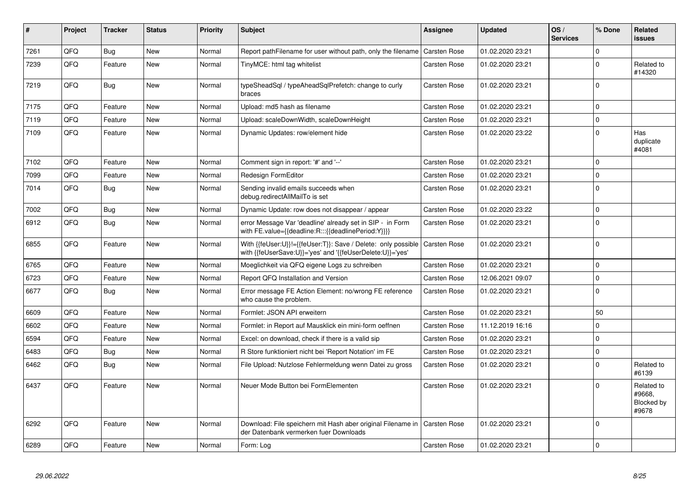| #    | Project | <b>Tracker</b> | <b>Status</b> | <b>Priority</b> | <b>Subject</b>                                                                                                             | Assignee            | Updated          | OS/<br><b>Services</b> | % Done      | Related<br><b>issues</b>                    |
|------|---------|----------------|---------------|-----------------|----------------------------------------------------------------------------------------------------------------------------|---------------------|------------------|------------------------|-------------|---------------------------------------------|
| 7261 | QFQ     | Bug            | <b>New</b>    | Normal          | Report path Filename for user without path, only the filename                                                              | Carsten Rose        | 01.02.2020 23:21 |                        | $\Omega$    |                                             |
| 7239 | QFQ     | Feature        | <b>New</b>    | Normal          | TinyMCE: html tag whitelist                                                                                                | Carsten Rose        | 01.02.2020 23:21 |                        | $\Omega$    | Related to<br>#14320                        |
| 7219 | QFQ     | <b>Bug</b>     | <b>New</b>    | Normal          | typeSheadSql / typeAheadSqlPrefetch: change to curly<br>braces                                                             | <b>Carsten Rose</b> | 01.02.2020 23:21 |                        | $\Omega$    |                                             |
| 7175 | QFQ     | Feature        | <b>New</b>    | Normal          | Upload: md5 hash as filename                                                                                               | Carsten Rose        | 01.02.2020 23:21 |                        | $\Omega$    |                                             |
| 7119 | QFQ     | Feature        | New           | Normal          | Upload: scaleDownWidth, scaleDownHeight                                                                                    | Carsten Rose        | 01.02.2020 23:21 |                        | $\mathbf 0$ |                                             |
| 7109 | QFQ     | Feature        | <b>New</b>    | Normal          | Dynamic Updates: row/element hide                                                                                          | Carsten Rose        | 01.02.2020 23:22 |                        | $\Omega$    | Has<br>duplicate<br>#4081                   |
| 7102 | QFQ     | Feature        | <b>New</b>    | Normal          | Comment sign in report: '#' and '--'                                                                                       | Carsten Rose        | 01.02.2020 23:21 |                        | $\mathbf 0$ |                                             |
| 7099 | QFQ     | Feature        | <b>New</b>    | Normal          | <b>Redesign FormEditor</b>                                                                                                 | <b>Carsten Rose</b> | 01.02.2020 23:21 |                        | $\Omega$    |                                             |
| 7014 | QFQ     | <b>Bug</b>     | New           | Normal          | Sending invalid emails succeeds when<br>debug.redirectAllMailTo is set                                                     | <b>Carsten Rose</b> | 01.02.2020 23:21 |                        | $\mathbf 0$ |                                             |
| 7002 | QFQ     | <b>Bug</b>     | New           | Normal          | Dynamic Update: row does not disappear / appear                                                                            | Carsten Rose        | 01.02.2020 23:22 |                        | $\Omega$    |                                             |
| 6912 | QFQ     | <b>Bug</b>     | <b>New</b>    | Normal          | error Message Var 'deadline' already set in SIP - in Form<br>with FE.value={{deadline:R:::{{deadlinePeriod:Y}}}}           | Carsten Rose        | 01.02.2020 23:21 |                        | $\Omega$    |                                             |
| 6855 | QFQ     | Feature        | <b>New</b>    | Normal          | With {{feUser:U}}!={{feUser:T}}: Save / Delete: only possible<br>with {{feUserSave:U}}='yes' and '{{feUserDelete:U}}='yes' | <b>Carsten Rose</b> | 01.02.2020 23:21 |                        | $\Omega$    |                                             |
| 6765 | QFQ     | Feature        | <b>New</b>    | Normal          | Moeglichkeit via QFQ eigene Logs zu schreiben                                                                              | Carsten Rose        | 01.02.2020 23:21 |                        | $\Omega$    |                                             |
| 6723 | QFQ     | Feature        | New           | Normal          | Report QFQ Installation and Version                                                                                        | Carsten Rose        | 12.06.2021 09:07 |                        | $\Omega$    |                                             |
| 6677 | QFQ     | <b>Bug</b>     | <b>New</b>    | Normal          | Error message FE Action Element: no/wrong FE reference<br>who cause the problem.                                           | <b>Carsten Rose</b> | 01.02.2020 23:21 |                        | $\Omega$    |                                             |
| 6609 | QFQ     | Feature        | <b>New</b>    | Normal          | Formlet: JSON API erweitern                                                                                                | <b>Carsten Rose</b> | 01.02.2020 23:21 |                        | 50          |                                             |
| 6602 | QFQ     | Feature        | <b>New</b>    | Normal          | Formlet: in Report auf Mausklick ein mini-form oeffnen                                                                     | Carsten Rose        | 11.12.2019 16:16 |                        | $\Omega$    |                                             |
| 6594 | QFQ     | Feature        | <b>New</b>    | Normal          | Excel: on download, check if there is a valid sip                                                                          | Carsten Rose        | 01.02.2020 23:21 |                        | $\Omega$    |                                             |
| 6483 | QFQ     | <b>Bug</b>     | <b>New</b>    | Normal          | R Store funktioniert nicht bei 'Report Notation' im FE                                                                     | Carsten Rose        | 01.02.2020 23:21 |                        | $\mathbf 0$ |                                             |
| 6462 | QFQ     | Bug            | New           | Normal          | File Upload: Nutzlose Fehlermeldung wenn Datei zu gross                                                                    | Carsten Rose        | 01.02.2020 23:21 |                        | $\Omega$    | Related to<br>#6139                         |
| 6437 | QFQ     | Feature        | <b>New</b>    | Normal          | Neuer Mode Button bei FormElementen                                                                                        | <b>Carsten Rose</b> | 01.02.2020 23:21 |                        | $\Omega$    | Related to<br>#9668.<br>Blocked by<br>#9678 |
| 6292 | QFQ     | Feature        | New           | Normal          | Download: File speichern mit Hash aber original Filename in   Carsten Rose<br>der Datenbank vermerken fuer Downloads       |                     | 01.02.2020 23:21 |                        | $\mathbf 0$ |                                             |
| 6289 | QFQ     | Feature        | New           | Normal          | Form: Log                                                                                                                  | Carsten Rose        | 01.02.2020 23:21 |                        | $\mathbf 0$ |                                             |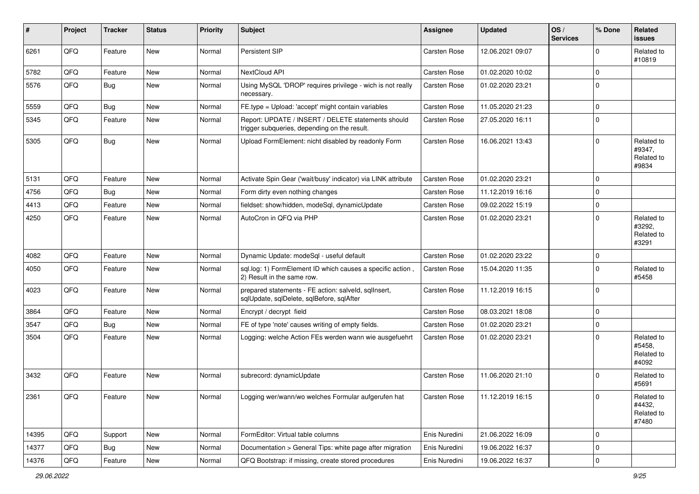| #     | Project | <b>Tracker</b> | <b>Status</b> | <b>Priority</b> | Subject                                                                                            | <b>Assignee</b>     | <b>Updated</b>   | OS/<br><b>Services</b> | % Done              | Related<br><b>issues</b>                    |
|-------|---------|----------------|---------------|-----------------|----------------------------------------------------------------------------------------------------|---------------------|------------------|------------------------|---------------------|---------------------------------------------|
| 6261  | QFQ     | Feature        | New           | Normal          | Persistent SIP                                                                                     | Carsten Rose        | 12.06.2021 09:07 |                        | $\mathbf 0$         | Related to<br>#10819                        |
| 5782  | QFQ     | Feature        | New           | Normal          | NextCloud API                                                                                      | Carsten Rose        | 01.02.2020 10:02 |                        | $\mathbf 0$         |                                             |
| 5576  | QFQ     | <b>Bug</b>     | New           | Normal          | Using MySQL 'DROP' requires privilege - wich is not really<br>necessary.                           | <b>Carsten Rose</b> | 01.02.2020 23:21 |                        | $\mathbf 0$         |                                             |
| 5559  | QFQ     | <b>Bug</b>     | <b>New</b>    | Normal          | FE.type = Upload: 'accept' might contain variables                                                 | Carsten Rose        | 11.05.2020 21:23 |                        | $\pmb{0}$           |                                             |
| 5345  | QFQ     | Feature        | New           | Normal          | Report: UPDATE / INSERT / DELETE statements should<br>trigger subqueries, depending on the result. | Carsten Rose        | 27.05.2020 16:11 |                        | $\mathbf 0$         |                                             |
| 5305  | QFQ     | Bug            | <b>New</b>    | Normal          | Upload FormElement: nicht disabled by readonly Form                                                | Carsten Rose        | 16.06.2021 13:43 |                        | $\mathbf 0$         | Related to<br>#9347,<br>Related to<br>#9834 |
| 5131  | QFQ     | Feature        | <b>New</b>    | Normal          | Activate Spin Gear ('wait/busy' indicator) via LINK attribute                                      | Carsten Rose        | 01.02.2020 23:21 |                        | $\mathbf 0$         |                                             |
| 4756  | QFQ     | Bug            | New           | Normal          | Form dirty even nothing changes                                                                    | Carsten Rose        | 11.12.2019 16:16 |                        | $\mathbf 0$         |                                             |
| 4413  | QFQ     | Feature        | New           | Normal          | fieldset: show/hidden, modeSql, dynamicUpdate                                                      | Carsten Rose        | 09.02.2022 15:19 |                        | $\pmb{0}$           |                                             |
| 4250  | QFQ     | Feature        | New           | Normal          | AutoCron in QFQ via PHP                                                                            | Carsten Rose        | 01.02.2020 23:21 |                        | $\mathbf 0$         | Related to<br>#3292,<br>Related to<br>#3291 |
| 4082  | QFQ     | Feature        | <b>New</b>    | Normal          | Dynamic Update: modeSql - useful default                                                           | Carsten Rose        | 01.02.2020 23:22 |                        | $\mathbf 0$         |                                             |
| 4050  | QFQ     | Feature        | New           | Normal          | sql.log: 1) FormElement ID which causes a specific action,<br>2) Result in the same row.           | Carsten Rose        | 15.04.2020 11:35 |                        | $\mathbf 0$         | Related to<br>#5458                         |
| 4023  | QFQ     | Feature        | New           | Normal          | prepared statements - FE action: salveld, sqllnsert,<br>sqlUpdate, sqlDelete, sqlBefore, sqlAfter  | Carsten Rose        | 11.12.2019 16:15 |                        | $\mathbf 0$         |                                             |
| 3864  | QFQ     | Feature        | New           | Normal          | Encrypt / decrypt field                                                                            | Carsten Rose        | 08.03.2021 18:08 |                        | $\mathbf 0$         |                                             |
| 3547  | QFQ     | Bug            | New           | Normal          | FE of type 'note' causes writing of empty fields.                                                  | Carsten Rose        | 01.02.2020 23:21 |                        | $\mathbf 0$         |                                             |
| 3504  | QFQ     | Feature        | New           | Normal          | Logging: welche Action FEs werden wann wie ausgefuehrt                                             | <b>Carsten Rose</b> | 01.02.2020 23:21 |                        | $\mathbf 0$         | Related to<br>#5458,<br>Related to<br>#4092 |
| 3432  | QFQ     | Feature        | New           | Normal          | subrecord: dynamicUpdate                                                                           | <b>Carsten Rose</b> | 11.06.2020 21:10 |                        | $\mathbf 0$         | Related to<br>#5691                         |
| 2361  | QFQ     | Feature        | New           | Normal          | Logging wer/wann/wo welches Formular aufgerufen hat                                                | Carsten Rose        | 11.12.2019 16:15 |                        | $\mathsf{U}$        | Related to<br>#4432,<br>Related to<br>#7480 |
| 14395 | QFQ     | Support        | New           | Normal          | FormEditor: Virtual table columns                                                                  | Enis Nuredini       | 21.06.2022 16:09 |                        | $\mathbf 0$         |                                             |
| 14377 | QFQ     | Bug            | New           | Normal          | Documentation > General Tips: white page after migration                                           | Enis Nuredini       | 19.06.2022 16:37 |                        | 0                   |                                             |
| 14376 | QFG     | Feature        | New           | Normal          | QFQ Bootstrap: if missing, create stored procedures                                                | Enis Nuredini       | 19.06.2022 16:37 |                        | $\mathsf{O}\xspace$ |                                             |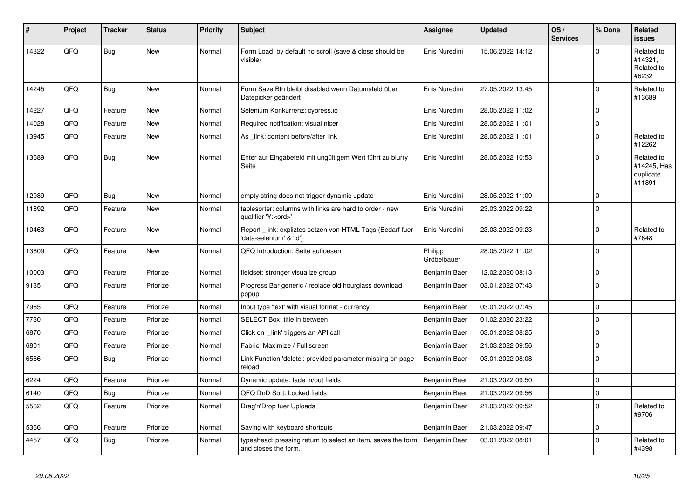| #     | Project | <b>Tracker</b> | <b>Status</b> | <b>Priority</b> | <b>Subject</b>                                                                        | Assignee               | <b>Updated</b>   | OS/<br><b>Services</b> | % Done      | Related<br><b>issues</b>                         |
|-------|---------|----------------|---------------|-----------------|---------------------------------------------------------------------------------------|------------------------|------------------|------------------------|-------------|--------------------------------------------------|
| 14322 | QFQ     | <b>Bug</b>     | <b>New</b>    | Normal          | Form Load: by default no scroll (save & close should be<br>visible)                   | Enis Nuredini          | 15.06.2022 14:12 |                        | $\Omega$    | Related to<br>#14321,<br>Related to<br>#6232     |
| 14245 | QFQ     | <b>Bug</b>     | <b>New</b>    | Normal          | Form Save Btn bleibt disabled wenn Datumsfeld über<br>Datepicker geändert             | Enis Nuredini          | 27.05.2022 13:45 |                        | $\Omega$    | Related to<br>#13689                             |
| 14227 | QFQ     | Feature        | <b>New</b>    | Normal          | Selenium Konkurrenz: cypress.io                                                       | Enis Nuredini          | 28.05.2022 11:02 |                        | $\Omega$    |                                                  |
| 14028 | QFQ     | Feature        | <b>New</b>    | Normal          | Required notification: visual nicer                                                   | Enis Nuredini          | 28.05.2022 11:01 |                        | $\mathbf 0$ |                                                  |
| 13945 | QFQ     | Feature        | <b>New</b>    | Normal          | As link: content before/after link                                                    | Enis Nuredini          | 28.05.2022 11:01 |                        | $\Omega$    | Related to<br>#12262                             |
| 13689 | QFQ     | <b>Bug</b>     | <b>New</b>    | Normal          | Enter auf Eingabefeld mit ungültigem Wert führt zu blurry<br>Seite                    | Enis Nuredini          | 28.05.2022 10:53 |                        | $\Omega$    | Related to<br>#14245, Has<br>duplicate<br>#11891 |
| 12989 | QFQ     | Bug            | <b>New</b>    | Normal          | empty string does not trigger dynamic update                                          | Enis Nuredini          | 28.05.2022 11:09 |                        | $\Omega$    |                                                  |
| 11892 | QFQ     | Feature        | <b>New</b>    | Normal          | tablesorter: columns with links are hard to order - new<br>qualifier 'Y: <ord>'</ord> | Enis Nuredini          | 23.03.2022 09:22 |                        | $\Omega$    |                                                  |
| 10463 | QFQ     | Feature        | <b>New</b>    | Normal          | Report _link: expliztes setzen von HTML Tags (Bedarf fuer<br>'data-selenium' & 'id')  | Enis Nuredini          | 23.03.2022 09:23 |                        | $\mathbf 0$ | Related to<br>#7648                              |
| 13609 | QFQ     | Feature        | <b>New</b>    | Normal          | QFQ Introduction: Seite aufloesen                                                     | Philipp<br>Gröbelbauer | 28.05.2022 11:02 |                        | $\Omega$    |                                                  |
| 10003 | QFQ     | Feature        | Priorize      | Normal          | fieldset: stronger visualize group                                                    | Benjamin Baer          | 12.02.2020 08:13 |                        | $\mathbf 0$ |                                                  |
| 9135  | QFQ     | Feature        | Priorize      | Normal          | Progress Bar generic / replace old hourglass download<br>popup                        | Benjamin Baer          | 03.01.2022 07:43 |                        | $\Omega$    |                                                  |
| 7965  | QFQ     | Feature        | Priorize      | Normal          | Input type 'text' with visual format - currency                                       | Benjamin Baer          | 03.01.2022 07:45 |                        | $\Omega$    |                                                  |
| 7730  | QFQ     | Feature        | Priorize      | Normal          | <b>SELECT Box: title in between</b>                                                   | Benjamin Baer          | 01.02.2020 23:22 |                        | $\Omega$    |                                                  |
| 6870  | QFQ     | Feature        | Priorize      | Normal          | Click on '_link' triggers an API call                                                 | Benjamin Baer          | 03.01.2022 08:25 |                        | $\Omega$    |                                                  |
| 6801  | QFQ     | Feature        | Priorize      | Normal          | Fabric: Maximize / Fulllscreen                                                        | Benjamin Baer          | 21.03.2022 09:56 |                        | $\mathbf 0$ |                                                  |
| 6566  | QFQ     | <b>Bug</b>     | Priorize      | Normal          | Link Function 'delete': provided parameter missing on page<br>reload                  | Benjamin Baer          | 03.01.2022 08:08 |                        | $\mathbf 0$ |                                                  |
| 6224  | QFQ     | Feature        | Priorize      | Normal          | Dynamic update: fade in/out fields                                                    | Benjamin Baer          | 21.03.2022 09:50 |                        | $\Omega$    |                                                  |
| 6140  | QFQ     | <b>Bug</b>     | Priorize      | Normal          | QFQ DnD Sort: Locked fields                                                           | Benjamin Baer          | 21.03.2022 09:56 |                        | $\mathbf 0$ |                                                  |
| 5562  | QFQ     | Feature        | Priorize      | Normal          | Drag'n'Drop fuer Uploads                                                              | Benjamin Baer          | 21.03.2022 09:52 |                        | $\Omega$    | Related to<br>#9706                              |
| 5366  | QFQ     | Feature        | Priorize      | Normal          | Saving with keyboard shortcuts                                                        | Benjamin Baer          | 21.03.2022 09:47 |                        | $\mathbf 0$ |                                                  |
| 4457  | QFQ     | <b>Bug</b>     | Priorize      | Normal          | typeahead: pressing return to select an item, saves the form<br>and closes the form.  | Benjamin Baer          | 03.01.2022 08:01 |                        | $\Omega$    | Related to<br>#4398                              |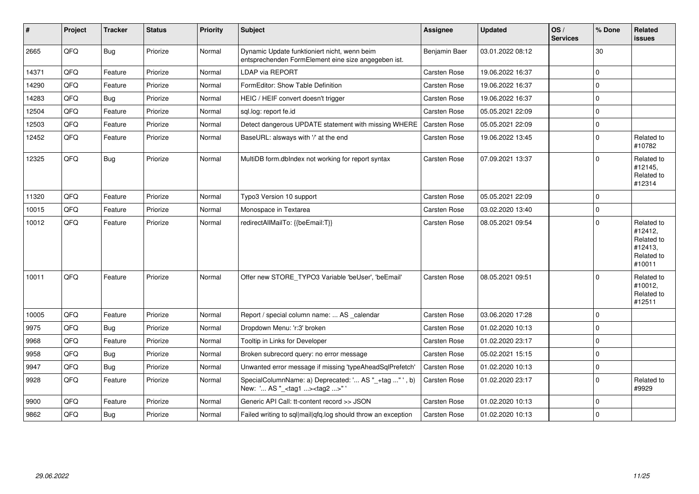| #     | Project | <b>Tracker</b> | <b>Status</b> | Priority | <b>Subject</b>                                                                                      | Assignee      | <b>Updated</b>   | OS/<br><b>Services</b> | % Done         | Related<br><b>issues</b>                                               |
|-------|---------|----------------|---------------|----------|-----------------------------------------------------------------------------------------------------|---------------|------------------|------------------------|----------------|------------------------------------------------------------------------|
| 2665  | QFQ     | <b>Bug</b>     | Priorize      | Normal   | Dynamic Update funktioniert nicht, wenn beim<br>entsprechenden FormElement eine size angegeben ist. | Benjamin Baer | 03.01.2022 08:12 |                        | 30             |                                                                        |
| 14371 | QFQ     | Feature        | Priorize      | Normal   | LDAP via REPORT                                                                                     | Carsten Rose  | 19.06.2022 16:37 |                        | $\Omega$       |                                                                        |
| 14290 | QFQ     | Feature        | Priorize      | Normal   | FormEditor: Show Table Definition                                                                   | Carsten Rose  | 19.06.2022 16:37 |                        | $\Omega$       |                                                                        |
| 14283 | QFQ     | <b>Bug</b>     | Priorize      | Normal   | HEIC / HEIF convert doesn't trigger                                                                 | Carsten Rose  | 19.06.2022 16:37 |                        | $\Omega$       |                                                                        |
| 12504 | QFQ     | Feature        | Priorize      | Normal   | sql.log: report fe.id                                                                               | Carsten Rose  | 05.05.2021 22:09 |                        | $\mathbf 0$    |                                                                        |
| 12503 | QFQ     | Feature        | Priorize      | Normal   | Detect dangerous UPDATE statement with missing WHERE                                                | Carsten Rose  | 05.05.2021 22:09 |                        | $\Omega$       |                                                                        |
| 12452 | QFQ     | Feature        | Priorize      | Normal   | BaseURL: alsways with '/' at the end                                                                | Carsten Rose  | 19.06.2022 13:45 |                        | $\Omega$       | Related to<br>#10782                                                   |
| 12325 | QFQ     | <b>Bug</b>     | Priorize      | Normal   | MultiDB form.dblndex not working for report syntax                                                  | Carsten Rose  | 07.09.2021 13:37 |                        | $\Omega$       | Related to<br>#12145,<br>Related to<br>#12314                          |
| 11320 | QFQ     | Feature        | Priorize      | Normal   | Typo3 Version 10 support                                                                            | Carsten Rose  | 05.05.2021 22:09 |                        | $\overline{0}$ |                                                                        |
| 10015 | QFQ     | Feature        | Priorize      | Normal   | Monospace in Textarea                                                                               | Carsten Rose  | 03.02.2020 13:40 |                        | $\Omega$       |                                                                        |
| 10012 | QFQ     | Feature        | Priorize      | Normal   | redirectAllMailTo: {{beEmail:T}}                                                                    | Carsten Rose  | 08.05.2021 09:54 |                        | $\Omega$       | Related to<br>#12412,<br>Related to<br>#12413.<br>Related to<br>#10011 |
| 10011 | QFQ     | Feature        | Priorize      | Normal   | Offer new STORE_TYPO3 Variable 'beUser', 'beEmail'                                                  | Carsten Rose  | 08.05.2021 09:51 |                        | $\Omega$       | Related to<br>#10012,<br>Related to<br>#12511                          |
| 10005 | QFQ     | Feature        | Priorize      | Normal   | Report / special column name:  AS _calendar                                                         | Carsten Rose  | 03.06.2020 17:28 |                        | $\Omega$       |                                                                        |
| 9975  | QFQ     | Bug            | Priorize      | Normal   | Dropdown Menu: 'r:3' broken                                                                         | Carsten Rose  | 01.02.2020 10:13 |                        | $\mathbf 0$    |                                                                        |
| 9968  | QFQ     | Feature        | Priorize      | Normal   | Tooltip in Links for Developer                                                                      | Carsten Rose  | 01.02.2020 23:17 |                        | $\Omega$       |                                                                        |
| 9958  | QFQ     | <b>Bug</b>     | Priorize      | Normal   | Broken subrecord query: no error message                                                            | Carsten Rose  | 05.02.2021 15:15 |                        | $\Omega$       |                                                                        |
| 9947  | QFQ     | <b>Bug</b>     | Priorize      | Normal   | Unwanted error message if missing 'typeAheadSqlPrefetch'                                            | Carsten Rose  | 01.02.2020 10:13 |                        | $\mathbf 0$    |                                                                        |
| 9928  | QFQ     | Feature        | Priorize      | Normal   | SpecialColumnName: a) Deprecated: ' AS "_+tag "', b)<br>New: ' AS "_ <tag1><tag2>"'</tag2></tag1>   | Carsten Rose  | 01.02.2020 23:17 |                        | $\Omega$       | Related to<br>#9929                                                    |
| 9900  | QFQ     | Feature        | Priorize      | Normal   | Generic API Call: tt-content record >> JSON                                                         | Carsten Rose  | 01.02.2020 10:13 |                        | $\Omega$       |                                                                        |
| 9862  | QFQ     | <b>Bug</b>     | Priorize      | Normal   | Failed writing to sql mail qfq.log should throw an exception                                        | Carsten Rose  | 01.02.2020 10:13 |                        | $\Omega$       |                                                                        |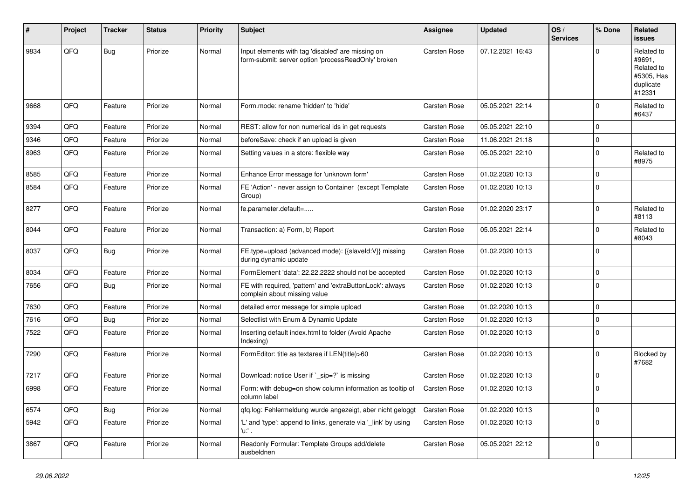| #    | Project | <b>Tracker</b> | <b>Status</b> | <b>Priority</b> | Subject                                                                                                  | Assignee            | <b>Updated</b>   | OS/<br><b>Services</b> | % Done      | Related<br>issues                                                       |
|------|---------|----------------|---------------|-----------------|----------------------------------------------------------------------------------------------------------|---------------------|------------------|------------------------|-------------|-------------------------------------------------------------------------|
| 9834 | QFQ     | <b>Bug</b>     | Priorize      | Normal          | Input elements with tag 'disabled' are missing on<br>form-submit: server option 'processReadOnly' broken | Carsten Rose        | 07.12.2021 16:43 |                        | $\Omega$    | Related to<br>#9691,<br>Related to<br>#5305, Has<br>duplicate<br>#12331 |
| 9668 | QFQ     | Feature        | Priorize      | Normal          | Form.mode: rename 'hidden' to 'hide'                                                                     | <b>Carsten Rose</b> | 05.05.2021 22:14 |                        | $\Omega$    | Related to<br>#6437                                                     |
| 9394 | QFQ     | Feature        | Priorize      | Normal          | REST: allow for non numerical ids in get requests                                                        | Carsten Rose        | 05.05.2021 22:10 |                        | $\mathbf 0$ |                                                                         |
| 9346 | QFQ     | Feature        | Priorize      | Normal          | beforeSave: check if an upload is given                                                                  | Carsten Rose        | 11.06.2021 21:18 |                        | $\mathbf 0$ |                                                                         |
| 8963 | QFQ     | Feature        | Priorize      | Normal          | Setting values in a store: flexible way                                                                  | Carsten Rose        | 05.05.2021 22:10 |                        | $\Omega$    | Related to<br>#8975                                                     |
| 8585 | QFQ     | Feature        | Priorize      | Normal          | Enhance Error message for 'unknown form'                                                                 | Carsten Rose        | 01.02.2020 10:13 |                        | $\mathbf 0$ |                                                                         |
| 8584 | QFQ     | Feature        | Priorize      | Normal          | FE 'Action' - never assign to Container (except Template<br>Group)                                       | Carsten Rose        | 01.02.2020 10:13 |                        | $\Omega$    |                                                                         |
| 8277 | QFQ     | Feature        | Priorize      | Normal          | fe.parameter.default=                                                                                    | Carsten Rose        | 01.02.2020 23:17 |                        | $\Omega$    | Related to<br>#8113                                                     |
| 8044 | QFQ     | Feature        | Priorize      | Normal          | Transaction: a) Form, b) Report                                                                          | Carsten Rose        | 05.05.2021 22:14 |                        | $\Omega$    | Related to<br>#8043                                                     |
| 8037 | QFQ     | <b>Bug</b>     | Priorize      | Normal          | FE.type=upload (advanced mode): {{slaveld:V}} missing<br>during dynamic update                           | Carsten Rose        | 01.02.2020 10:13 |                        | $\mathbf 0$ |                                                                         |
| 8034 | QFQ     | Feature        | Priorize      | Normal          | FormElement 'data': 22.22.2222 should not be accepted                                                    | Carsten Rose        | 01.02.2020 10:13 |                        | $\Omega$    |                                                                         |
| 7656 | QFQ     | <b>Bug</b>     | Priorize      | Normal          | FE with required, 'pattern' and 'extraButtonLock': always<br>complain about missing value                | Carsten Rose        | 01.02.2020 10:13 |                        | $\Omega$    |                                                                         |
| 7630 | QFQ     | Feature        | Priorize      | Normal          | detailed error message for simple upload                                                                 | Carsten Rose        | 01.02.2020 10:13 |                        | $\Omega$    |                                                                         |
| 7616 | QFQ     | Bug            | Priorize      | Normal          | Selectlist with Enum & Dynamic Update                                                                    | Carsten Rose        | 01.02.2020 10:13 |                        | $\mathbf 0$ |                                                                         |
| 7522 | QFQ     | Feature        | Priorize      | Normal          | Inserting default index.html to folder (Avoid Apache<br>Indexing)                                        | Carsten Rose        | 01.02.2020 10:13 |                        | $\Omega$    |                                                                         |
| 7290 | QFQ     | Feature        | Priorize      | Normal          | FormEditor: title as textarea if LEN(title)>60                                                           | Carsten Rose        | 01.02.2020 10:13 |                        | $\Omega$    | Blocked by<br>#7682                                                     |
| 7217 | QFQ     | Feature        | Priorize      | Normal          | Download: notice User if `_sip=?` is missing                                                             | Carsten Rose        | 01.02.2020 10:13 |                        | $\mathbf 0$ |                                                                         |
| 6998 | QFQ     | Feature        | Priorize      | Normal          | Form: with debug=on show column information as tooltip of<br>column label                                | Carsten Rose        | 01.02.2020 10:13 |                        | $\mathbf 0$ |                                                                         |
| 6574 | QFQ     | <b>Bug</b>     | Priorize      | Normal          | gfg.log: Fehlermeldung wurde angezeigt, aber nicht geloggt                                               | Carsten Rose        | 01.02.2020 10:13 |                        | $\mathbf 0$ |                                                                         |
| 5942 | QFQ     | Feature        | Priorize      | Normal          | 'L' and 'type': append to links, generate via 'link' by using<br>'u:' .                                  | Carsten Rose        | 01.02.2020 10:13 |                        | $\mathbf 0$ |                                                                         |
| 3867 | QFQ     | Feature        | Priorize      | Normal          | Readonly Formular: Template Groups add/delete<br>ausbeldnen                                              | Carsten Rose        | 05.05.2021 22:12 |                        | 0           |                                                                         |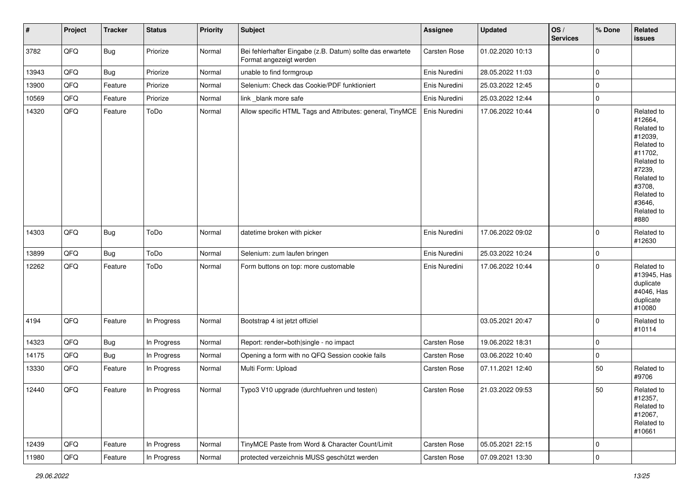| #     | Project | <b>Tracker</b> | <b>Status</b> | Priority | <b>Subject</b>                                                                        | Assignee      | <b>Updated</b>   | OS/<br><b>Services</b> | % Done      | Related<br>issues                                                                                                                                                     |
|-------|---------|----------------|---------------|----------|---------------------------------------------------------------------------------------|---------------|------------------|------------------------|-------------|-----------------------------------------------------------------------------------------------------------------------------------------------------------------------|
| 3782  | QFQ     | <b>Bug</b>     | Priorize      | Normal   | Bei fehlerhafter Eingabe (z.B. Datum) sollte das erwartete<br>Format angezeigt werden | Carsten Rose  | 01.02.2020 10:13 |                        | $\mathbf 0$ |                                                                                                                                                                       |
| 13943 | QFQ     | <b>Bug</b>     | Priorize      | Normal   | unable to find formgroup                                                              | Enis Nuredini | 28.05.2022 11:03 |                        | $\mathbf 0$ |                                                                                                                                                                       |
| 13900 | QFQ     | Feature        | Priorize      | Normal   | Selenium: Check das Cookie/PDF funktioniert                                           | Enis Nuredini | 25.03.2022 12:45 |                        | $\pmb{0}$   |                                                                                                                                                                       |
| 10569 | QFQ     | Feature        | Priorize      | Normal   | link blank more safe                                                                  | Enis Nuredini | 25.03.2022 12:44 |                        | $\mathbf 0$ |                                                                                                                                                                       |
| 14320 | QFQ     | Feature        | ToDo          | Normal   | Allow specific HTML Tags and Attributes: general, TinyMCE                             | Enis Nuredini | 17.06.2022 10:44 |                        | $\mathbf 0$ | Related to<br>#12664,<br>Related to<br>#12039,<br>Related to<br>#11702,<br>Related to<br>#7239,<br>Related to<br>#3708,<br>Related to<br>#3646,<br>Related to<br>#880 |
| 14303 | QFQ     | <b>Bug</b>     | ToDo          | Normal   | datetime broken with picker                                                           | Enis Nuredini | 17.06.2022 09:02 |                        | $\mathbf 0$ | Related to<br>#12630                                                                                                                                                  |
| 13899 | QFQ     | <b>Bug</b>     | ToDo          | Normal   | Selenium: zum laufen bringen                                                          | Enis Nuredini | 25.03.2022 10:24 |                        | $\pmb{0}$   |                                                                                                                                                                       |
| 12262 | QFQ     | Feature        | ToDo          | Normal   | Form buttons on top: more customable                                                  | Enis Nuredini | 17.06.2022 10:44 |                        | $\mathbf 0$ | Related to<br>#13945, Has<br>duplicate<br>#4046, Has<br>duplicate<br>#10080                                                                                           |
| 4194  | QFQ     | Feature        | In Progress   | Normal   | Bootstrap 4 ist jetzt offiziel                                                        |               | 03.05.2021 20:47 |                        | $\mathbf 0$ | Related to<br>#10114                                                                                                                                                  |
| 14323 | QFQ     | <b>Bug</b>     | In Progress   | Normal   | Report: render=both single - no impact                                                | Carsten Rose  | 19.06.2022 18:31 |                        | $\mathbf 0$ |                                                                                                                                                                       |
| 14175 | QFQ     | <b>Bug</b>     | In Progress   | Normal   | Opening a form with no QFQ Session cookie fails                                       | Carsten Rose  | 03.06.2022 10:40 |                        | $\mathbf 0$ |                                                                                                                                                                       |
| 13330 | QFQ     | Feature        | In Progress   | Normal   | Multi Form: Upload                                                                    | Carsten Rose  | 07.11.2021 12:40 |                        | 50          | Related to<br>#9706                                                                                                                                                   |
| 12440 | QFQ     | Feature        | In Progress   | Normal   | Typo3 V10 upgrade (durchfuehren und testen)                                           | Carsten Rose  | 21.03.2022 09:53 |                        | 50          | Related to<br>#12357,<br>Related to<br>#12067,<br>Related to<br>#10661                                                                                                |
| 12439 | QFQ     | Feature        | In Progress   | Normal   | TinyMCE Paste from Word & Character Count/Limit                                       | Carsten Rose  | 05.05.2021 22:15 |                        | $\mathbf 0$ |                                                                                                                                                                       |
| 11980 | QFQ     | Feature        | In Progress   | Normal   | protected verzeichnis MUSS geschützt werden                                           | Carsten Rose  | 07.09.2021 13:30 |                        | $\pmb{0}$   |                                                                                                                                                                       |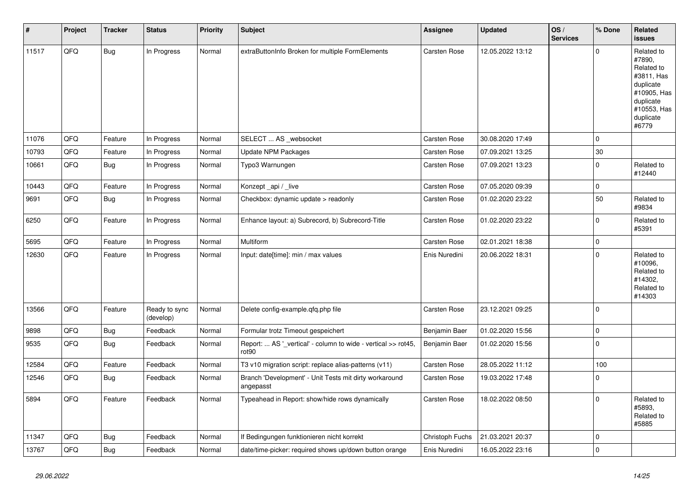| $\pmb{\sharp}$ | Project | <b>Tracker</b> | <b>Status</b>              | <b>Priority</b> | <b>Subject</b>                                                         | Assignee        | <b>Updated</b>   | OS/<br><b>Services</b> | % Done              | Related<br>issues                                                                                                              |
|----------------|---------|----------------|----------------------------|-----------------|------------------------------------------------------------------------|-----------------|------------------|------------------------|---------------------|--------------------------------------------------------------------------------------------------------------------------------|
| 11517          | QFQ     | <b>Bug</b>     | In Progress                | Normal          | extraButtonInfo Broken for multiple FormElements                       | Carsten Rose    | 12.05.2022 13:12 |                        | $\Omega$            | Related to<br>#7890.<br>Related to<br>#3811, Has<br>duplicate<br>#10905, Has<br>duplicate<br>#10553, Has<br>duplicate<br>#6779 |
| 11076          | QFQ     | Feature        | In Progress                | Normal          | SELECT  AS _websocket                                                  | Carsten Rose    | 30.08.2020 17:49 |                        | $\Omega$            |                                                                                                                                |
| 10793          | QFQ     | Feature        | In Progress                | Normal          | Update NPM Packages                                                    | Carsten Rose    | 07.09.2021 13:25 |                        | $30\,$              |                                                                                                                                |
| 10661          | QFQ     | <b>Bug</b>     | In Progress                | Normal          | Typo3 Warnungen                                                        | Carsten Rose    | 07.09.2021 13:23 |                        | $\Omega$            | Related to<br>#12440                                                                                                           |
| 10443          | QFQ     | Feature        | In Progress                | Normal          | Konzept_api / _live                                                    | Carsten Rose    | 07.05.2020 09:39 |                        | $\mathsf{O}\xspace$ |                                                                                                                                |
| 9691           | QFQ     | <b>Bug</b>     | In Progress                | Normal          | Checkbox: dynamic update > readonly                                    | Carsten Rose    | 01.02.2020 23:22 |                        | 50                  | Related to<br>#9834                                                                                                            |
| 6250           | QFQ     | Feature        | In Progress                | Normal          | Enhance layout: a) Subrecord, b) Subrecord-Title                       | Carsten Rose    | 01.02.2020 23:22 |                        | $\Omega$            | Related to<br>#5391                                                                                                            |
| 5695           | QFQ     | Feature        | In Progress                | Normal          | <b>Multiform</b>                                                       | Carsten Rose    | 02.01.2021 18:38 |                        | $\mathbf 0$         |                                                                                                                                |
| 12630          | QFQ     | Feature        | In Progress                | Normal          | Input: date[time]: min / max values                                    | Enis Nuredini   | 20.06.2022 18:31 |                        | $\Omega$            | Related to<br>#10096,<br>Related to<br>#14302.<br>Related to<br>#14303                                                         |
| 13566          | QFQ     | Feature        | Ready to sync<br>(develop) | Normal          | Delete config-example.qfq.php file                                     | Carsten Rose    | 23.12.2021 09:25 |                        | $\Omega$            |                                                                                                                                |
| 9898           | QFQ     | <b>Bug</b>     | Feedback                   | Normal          | Formular trotz Timeout gespeichert                                     | Benjamin Baer   | 01.02.2020 15:56 |                        | $\mathbf 0$         |                                                                                                                                |
| 9535           | QFQ     | Bug            | Feedback                   | Normal          | Report:  AS '_vertical' - column to wide - vertical >> rot45,<br>rot90 | Benjamin Baer   | 01.02.2020 15:56 |                        | $\mathbf 0$         |                                                                                                                                |
| 12584          | QFQ     | Feature        | Feedback                   | Normal          | T3 v10 migration script: replace alias-patterns (v11)                  | Carsten Rose    | 28.05.2022 11:12 |                        | 100                 |                                                                                                                                |
| 12546          | QFQ     | Bug            | Feedback                   | Normal          | Branch 'Development' - Unit Tests mit dirty workaround<br>angepasst    | Carsten Rose    | 19.03.2022 17:48 |                        | $\Omega$            |                                                                                                                                |
| 5894           | QFQ     | Feature        | Feedback                   | Normal          | Typeahead in Report: show/hide rows dynamically                        | Carsten Rose    | 18.02.2022 08:50 |                        | $\Omega$            | Related to<br>#5893.<br>Related to<br>#5885                                                                                    |
| 11347          | QFQ     | <b>Bug</b>     | Feedback                   | Normal          | If Bedingungen funktionieren nicht korrekt                             | Christoph Fuchs | 21.03.2021 20:37 |                        | $\mathbf 0$         |                                                                                                                                |
| 13767          | QFQ     | <b>Bug</b>     | Feedback                   | Normal          | date/time-picker: required shows up/down button orange                 | Enis Nuredini   | 16.05.2022 23:16 |                        | $\Omega$            |                                                                                                                                |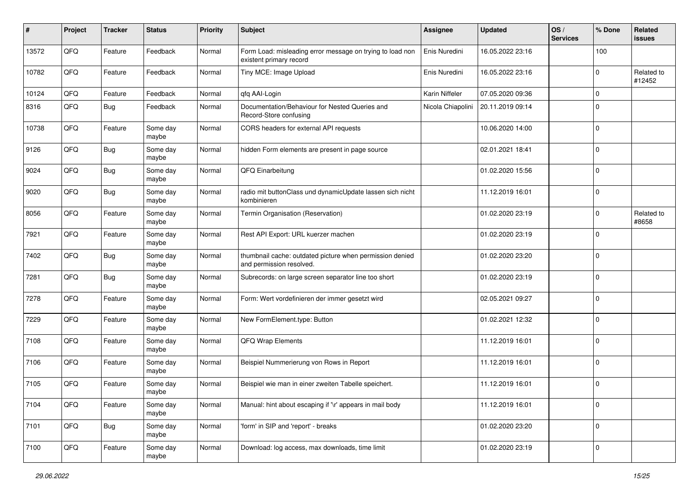| $\pmb{\#}$ | Project | <b>Tracker</b> | <b>Status</b>     | <b>Priority</b> | <b>Subject</b>                                                                       | <b>Assignee</b>   | <b>Updated</b>   | OS/<br><b>Services</b> | % Done      | Related<br>issues    |
|------------|---------|----------------|-------------------|-----------------|--------------------------------------------------------------------------------------|-------------------|------------------|------------------------|-------------|----------------------|
| 13572      | QFQ     | Feature        | Feedback          | Normal          | Form Load: misleading error message on trying to load non<br>existent primary record | Enis Nuredini     | 16.05.2022 23:16 |                        | 100         |                      |
| 10782      | QFQ     | Feature        | Feedback          | Normal          | Tiny MCE: Image Upload                                                               | Enis Nuredini     | 16.05.2022 23:16 |                        | $\mathbf 0$ | Related to<br>#12452 |
| 10124      | QFQ     | Feature        | Feedback          | Normal          | qfq AAI-Login                                                                        | Karin Niffeler    | 07.05.2020 09:36 |                        | 0           |                      |
| 8316       | QFQ     | <b>Bug</b>     | Feedback          | Normal          | Documentation/Behaviour for Nested Queries and<br>Record-Store confusing             | Nicola Chiapolini | 20.11.2019 09:14 |                        | $\mathbf 0$ |                      |
| 10738      | QFQ     | Feature        | Some day<br>maybe | Normal          | CORS headers for external API requests                                               |                   | 10.06.2020 14:00 |                        | $\mathbf 0$ |                      |
| 9126       | QFQ     | <b>Bug</b>     | Some day<br>maybe | Normal          | hidden Form elements are present in page source                                      |                   | 02.01.2021 18:41 |                        | $\mathbf 0$ |                      |
| 9024       | QFQ     | <b>Bug</b>     | Some day<br>maybe | Normal          | QFQ Einarbeitung                                                                     |                   | 01.02.2020 15:56 |                        | $\mathbf 0$ |                      |
| 9020       | QFQ     | <b>Bug</b>     | Some day<br>maybe | Normal          | radio mit buttonClass und dynamicUpdate lassen sich nicht<br>kombinieren             |                   | 11.12.2019 16:01 |                        | $\mathbf 0$ |                      |
| 8056       | QFQ     | Feature        | Some day<br>maybe | Normal          | Termin Organisation (Reservation)                                                    |                   | 01.02.2020 23:19 |                        | $\mathbf 0$ | Related to<br>#8658  |
| 7921       | QFQ     | Feature        | Some day<br>maybe | Normal          | Rest API Export: URL kuerzer machen                                                  |                   | 01.02.2020 23:19 |                        | $\mathbf 0$ |                      |
| 7402       | QFQ     | <b>Bug</b>     | Some day<br>maybe | Normal          | thumbnail cache: outdated picture when permission denied<br>and permission resolved. |                   | 01.02.2020 23:20 |                        | $\mathbf 0$ |                      |
| 7281       | QFQ     | <b>Bug</b>     | Some day<br>maybe | Normal          | Subrecords: on large screen separator line too short                                 |                   | 01.02.2020 23:19 |                        | $\mathbf 0$ |                      |
| 7278       | QFQ     | Feature        | Some day<br>maybe | Normal          | Form: Wert vordefinieren der immer gesetzt wird                                      |                   | 02.05.2021 09:27 |                        | $\mathbf 0$ |                      |
| 7229       | QFQ     | Feature        | Some day<br>maybe | Normal          | New FormElement.type: Button                                                         |                   | 01.02.2021 12:32 |                        | $\mathbf 0$ |                      |
| 7108       | QFQ     | Feature        | Some day<br>maybe | Normal          | QFQ Wrap Elements                                                                    |                   | 11.12.2019 16:01 |                        | $\mathbf 0$ |                      |
| 7106       | QFQ     | Feature        | Some day<br>maybe | Normal          | Beispiel Nummerierung von Rows in Report                                             |                   | 11.12.2019 16:01 |                        | $\mathbf 0$ |                      |
| 7105       | QFQ     | Feature        | Some day<br>maybe | Normal          | Beispiel wie man in einer zweiten Tabelle speichert.                                 |                   | 11.12.2019 16:01 |                        | $\mathbf 0$ |                      |
| 7104       | QFQ     | Feature        | Some day<br>maybe | Normal          | Manual: hint about escaping if '\r' appears in mail body                             |                   | 11.12.2019 16:01 |                        | $\mathbf 0$ |                      |
| 7101       | QFQ     | <b>Bug</b>     | Some day<br>maybe | Normal          | 'form' in SIP and 'report' - breaks                                                  |                   | 01.02.2020 23:20 |                        | 0           |                      |
| 7100       | QFQ     | Feature        | Some day<br>maybe | Normal          | Download: log access, max downloads, time limit                                      |                   | 01.02.2020 23:19 |                        | 0           |                      |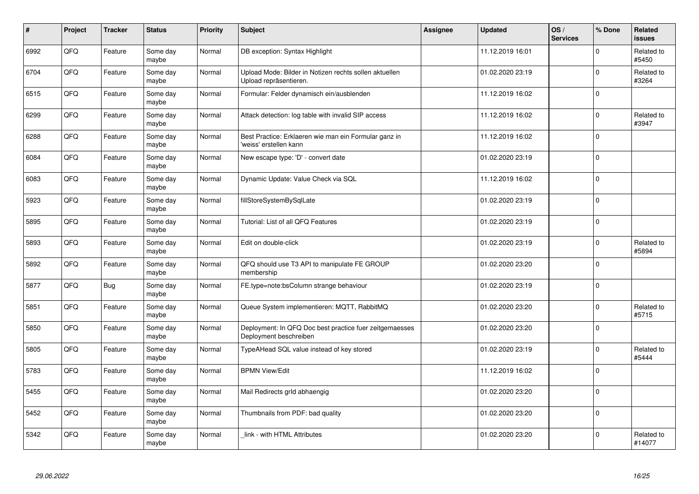| $\vert$ # | Project | <b>Tracker</b> | <b>Status</b>     | <b>Priority</b> | <b>Subject</b>                                                                    | <b>Assignee</b> | <b>Updated</b>   | OS/<br><b>Services</b> | % Done      | Related<br><b>issues</b> |
|-----------|---------|----------------|-------------------|-----------------|-----------------------------------------------------------------------------------|-----------------|------------------|------------------------|-------------|--------------------------|
| 6992      | QFQ     | Feature        | Some day<br>maybe | Normal          | DB exception: Syntax Highlight                                                    |                 | 11.12.2019 16:01 |                        | $\Omega$    | Related to<br>#5450      |
| 6704      | QFQ     | Feature        | Some day<br>maybe | Normal          | Upload Mode: Bilder in Notizen rechts sollen aktuellen<br>Upload repräsentieren.  |                 | 01.02.2020 23:19 |                        | $\mathbf 0$ | Related to<br>#3264      |
| 6515      | QFQ     | Feature        | Some day<br>maybe | Normal          | Formular: Felder dynamisch ein/ausblenden                                         |                 | 11.12.2019 16:02 |                        | $\mathbf 0$ |                          |
| 6299      | QFQ     | Feature        | Some day<br>maybe | Normal          | Attack detection: log table with invalid SIP access                               |                 | 11.12.2019 16:02 |                        | $\Omega$    | Related to<br>#3947      |
| 6288      | QFQ     | Feature        | Some day<br>maybe | Normal          | Best Practice: Erklaeren wie man ein Formular ganz in<br>'weiss' erstellen kann   |                 | 11.12.2019 16:02 |                        | $\mathbf 0$ |                          |
| 6084      | QFQ     | Feature        | Some day<br>maybe | Normal          | New escape type: 'D' - convert date                                               |                 | 01.02.2020 23:19 |                        | $\Omega$    |                          |
| 6083      | QFQ     | Feature        | Some day<br>maybe | Normal          | Dynamic Update: Value Check via SQL                                               |                 | 11.12.2019 16:02 |                        | $\mathbf 0$ |                          |
| 5923      | QFQ     | Feature        | Some day<br>maybe | Normal          | fillStoreSystemBySqlLate                                                          |                 | 01.02.2020 23:19 |                        | $\Omega$    |                          |
| 5895      | QFQ     | Feature        | Some day<br>maybe | Normal          | Tutorial: List of all QFQ Features                                                |                 | 01.02.2020 23:19 |                        | $\Omega$    |                          |
| 5893      | QFQ     | Feature        | Some day<br>maybe | Normal          | Edit on double-click                                                              |                 | 01.02.2020 23:19 |                        | $\mathbf 0$ | Related to<br>#5894      |
| 5892      | QFQ     | Feature        | Some day<br>maybe | Normal          | QFQ should use T3 API to manipulate FE GROUP<br>membership                        |                 | 01.02.2020 23:20 |                        | $\mathbf 0$ |                          |
| 5877      | QFQ     | <b>Bug</b>     | Some day<br>maybe | Normal          | FE.type=note:bsColumn strange behaviour                                           |                 | 01.02.2020 23:19 |                        | $\mathbf 0$ |                          |
| 5851      | QFQ     | Feature        | Some day<br>maybe | Normal          | Queue System implementieren: MQTT, RabbitMQ                                       |                 | 01.02.2020 23:20 |                        | $\mathbf 0$ | Related to<br>#5715      |
| 5850      | QFQ     | Feature        | Some day<br>maybe | Normal          | Deployment: In QFQ Doc best practice fuer zeitgemaesses<br>Deployment beschreiben |                 | 01.02.2020 23:20 |                        | $\mathbf 0$ |                          |
| 5805      | QFQ     | Feature        | Some day<br>maybe | Normal          | TypeAHead SQL value instead of key stored                                         |                 | 01.02.2020 23:19 |                        | $\Omega$    | Related to<br>#5444      |
| 5783      | QFQ     | Feature        | Some day<br>maybe | Normal          | <b>BPMN View/Edit</b>                                                             |                 | 11.12.2019 16:02 |                        | $\Omega$    |                          |
| 5455      | QFQ     | Feature        | Some day<br>maybe | Normal          | Mail Redirects grld abhaengig                                                     |                 | 01.02.2020 23:20 |                        | $\mathbf 0$ |                          |
| 5452      | QFG     | Feature        | Some day<br>maybe | Normal          | Thumbnails from PDF: bad quality                                                  |                 | 01.02.2020 23:20 |                        | $\mathbf 0$ |                          |
| 5342      | QFQ     | Feature        | Some day<br>maybe | Normal          | link - with HTML Attributes                                                       |                 | 01.02.2020 23:20 |                        | $\Omega$    | Related to<br>#14077     |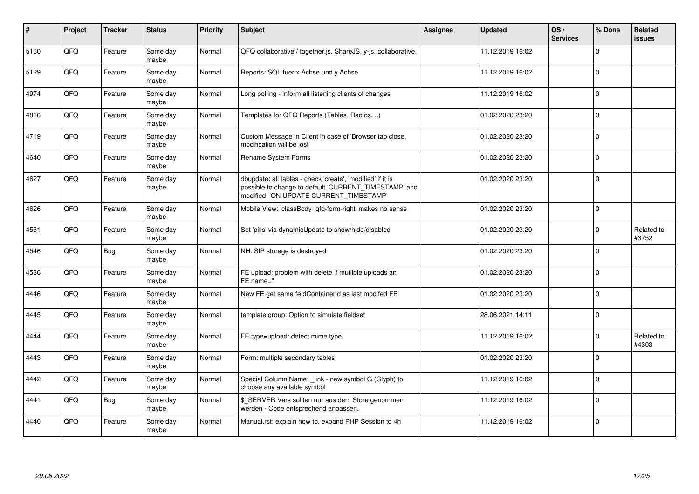| #    | Project | <b>Tracker</b> | <b>Status</b>     | <b>Priority</b> | <b>Subject</b>                                                                                                                                                | <b>Assignee</b> | <b>Updated</b>   | OS/<br><b>Services</b> | % Done       | Related<br><b>issues</b> |
|------|---------|----------------|-------------------|-----------------|---------------------------------------------------------------------------------------------------------------------------------------------------------------|-----------------|------------------|------------------------|--------------|--------------------------|
| 5160 | QFQ     | Feature        | Some day<br>maybe | Normal          | QFQ collaborative / together.js, ShareJS, y-js, collaborative,                                                                                                |                 | 11.12.2019 16:02 |                        | $\Omega$     |                          |
| 5129 | QFQ     | Feature        | Some day<br>maybe | Normal          | Reports: SQL fuer x Achse und y Achse                                                                                                                         |                 | 11.12.2019 16:02 |                        | $\Omega$     |                          |
| 4974 | QFQ     | Feature        | Some day<br>maybe | Normal          | Long polling - inform all listening clients of changes                                                                                                        |                 | 11.12.2019 16:02 |                        | $\mathbf{0}$ |                          |
| 4816 | QFQ     | Feature        | Some day<br>maybe | Normal          | Templates for QFQ Reports (Tables, Radios, )                                                                                                                  |                 | 01.02.2020 23:20 |                        | $\Omega$     |                          |
| 4719 | QFQ     | Feature        | Some day<br>maybe | Normal          | Custom Message in Client in case of 'Browser tab close,<br>modification will be lost'                                                                         |                 | 01.02.2020 23:20 |                        | $\Omega$     |                          |
| 4640 | QFQ     | Feature        | Some day<br>maybe | Normal          | Rename System Forms                                                                                                                                           |                 | 01.02.2020 23:20 |                        | $\Omega$     |                          |
| 4627 | QFQ     | Feature        | Some day<br>maybe | Normal          | dbupdate: all tables - check 'create', 'modified' if it is<br>possible to change to default 'CURRENT_TIMESTAMP' and<br>modified 'ON UPDATE CURRENT_TIMESTAMP' |                 | 01.02.2020 23:20 |                        | $\Omega$     |                          |
| 4626 | QFQ     | Feature        | Some day<br>maybe | Normal          | Mobile View: 'classBody=qfq-form-right' makes no sense                                                                                                        |                 | 01.02.2020 23:20 |                        | $\mathbf 0$  |                          |
| 4551 | QFQ     | Feature        | Some day<br>maybe | Normal          | Set 'pills' via dynamicUpdate to show/hide/disabled                                                                                                           |                 | 01.02.2020 23:20 |                        | $\Omega$     | Related to<br>#3752      |
| 4546 | QFQ     | Bug            | Some day<br>maybe | Normal          | NH: SIP storage is destroyed                                                                                                                                  |                 | 01.02.2020 23:20 |                        | $\Omega$     |                          |
| 4536 | QFQ     | Feature        | Some day<br>maybe | Normal          | FE upload: problem with delete if mutliple uploads an<br>FE.name="                                                                                            |                 | 01.02.2020 23:20 |                        | $\Omega$     |                          |
| 4446 | QFQ     | Feature        | Some day<br>maybe | Normal          | New FE get same feldContainerId as last modifed FE                                                                                                            |                 | 01.02.2020 23:20 |                        | $\Omega$     |                          |
| 4445 | QFQ     | Feature        | Some day<br>maybe | Normal          | template group: Option to simulate fieldset                                                                                                                   |                 | 28.06.2021 14:11 |                        | $\Omega$     |                          |
| 4444 | QFQ     | Feature        | Some day<br>maybe | Normal          | FE.type=upload: detect mime type                                                                                                                              |                 | 11.12.2019 16:02 |                        | $\Omega$     | Related to<br>#4303      |
| 4443 | QFQ     | Feature        | Some day<br>maybe | Normal          | Form: multiple secondary tables                                                                                                                               |                 | 01.02.2020 23:20 |                        | $\Omega$     |                          |
| 4442 | QFQ     | Feature        | Some day<br>maybe | Normal          | Special Column Name: _link - new symbol G (Glyph) to<br>choose any available symbol                                                                           |                 | 11.12.2019 16:02 |                        | $\Omega$     |                          |
| 4441 | QFQ     | <b>Bug</b>     | Some day<br>maybe | Normal          | \$ SERVER Vars sollten nur aus dem Store genommen<br>werden - Code entsprechend anpassen.                                                                     |                 | 11.12.2019 16:02 |                        | $\Omega$     |                          |
| 4440 | QFQ     | Feature        | Some day<br>maybe | Normal          | Manual.rst: explain how to. expand PHP Session to 4h                                                                                                          |                 | 11.12.2019 16:02 |                        | $\Omega$     |                          |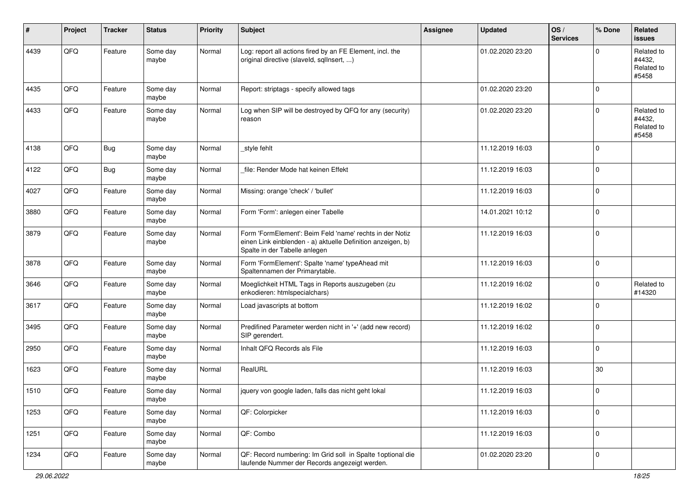| $\sharp$ | Project | <b>Tracker</b> | <b>Status</b>     | <b>Priority</b> | <b>Subject</b>                                                                                                                                           | <b>Assignee</b> | <b>Updated</b>   | OS/<br><b>Services</b> | % Done      | Related<br><b>issues</b>                    |
|----------|---------|----------------|-------------------|-----------------|----------------------------------------------------------------------------------------------------------------------------------------------------------|-----------------|------------------|------------------------|-------------|---------------------------------------------|
| 4439     | QFQ     | Feature        | Some day<br>maybe | Normal          | Log: report all actions fired by an FE Element, incl. the<br>original directive (slaveld, sqlInsert, )                                                   |                 | 01.02.2020 23:20 |                        | $\Omega$    | Related to<br>#4432,<br>Related to<br>#5458 |
| 4435     | QFQ     | Feature        | Some day<br>maybe | Normal          | Report: striptags - specify allowed tags                                                                                                                 |                 | 01.02.2020 23:20 |                        | $\mathbf 0$ |                                             |
| 4433     | QFQ     | Feature        | Some day<br>maybe | Normal          | Log when SIP will be destroyed by QFQ for any (security)<br>reason                                                                                       |                 | 01.02.2020 23:20 |                        | $\Omega$    | Related to<br>#4432,<br>Related to<br>#5458 |
| 4138     | QFQ     | Bug            | Some day<br>maybe | Normal          | _style fehlt                                                                                                                                             |                 | 11.12.2019 16:03 |                        | $\mathbf 0$ |                                             |
| 4122     | QFQ     | <b>Bug</b>     | Some day<br>maybe | Normal          | file: Render Mode hat keinen Effekt                                                                                                                      |                 | 11.12.2019 16:03 |                        | 0           |                                             |
| 4027     | QFQ     | Feature        | Some day<br>maybe | Normal          | Missing: orange 'check' / 'bullet'                                                                                                                       |                 | 11.12.2019 16:03 |                        | $\mathbf 0$ |                                             |
| 3880     | QFQ     | Feature        | Some day<br>maybe | Normal          | Form 'Form': anlegen einer Tabelle                                                                                                                       |                 | 14.01.2021 10:12 |                        | 0           |                                             |
| 3879     | QFQ     | Feature        | Some day<br>maybe | Normal          | Form 'FormElement': Beim Feld 'name' rechts in der Notiz<br>einen Link einblenden - a) aktuelle Definition anzeigen, b)<br>Spalte in der Tabelle anlegen |                 | 11.12.2019 16:03 |                        | $\mathbf 0$ |                                             |
| 3878     | QFQ     | Feature        | Some day<br>maybe | Normal          | Form 'FormElement': Spalte 'name' typeAhead mit<br>Spaltennamen der Primarytable.                                                                        |                 | 11.12.2019 16:03 |                        | $\mathbf 0$ |                                             |
| 3646     | QFQ     | Feature        | Some day<br>maybe | Normal          | Moeglichkeit HTML Tags in Reports auszugeben (zu<br>enkodieren: htmlspecialchars)                                                                        |                 | 11.12.2019 16:02 |                        | $\mathbf 0$ | Related to<br>#14320                        |
| 3617     | QFQ     | Feature        | Some day<br>maybe | Normal          | Load javascripts at bottom                                                                                                                               |                 | 11.12.2019 16:02 |                        | $\Omega$    |                                             |
| 3495     | QFQ     | Feature        | Some day<br>maybe | Normal          | Predifined Parameter werden nicht in '+' (add new record)<br>SIP gerendert.                                                                              |                 | 11.12.2019 16:02 |                        | $\mathbf 0$ |                                             |
| 2950     | QFQ     | Feature        | Some day<br>maybe | Normal          | Inhalt QFQ Records als File                                                                                                                              |                 | 11.12.2019 16:03 |                        | 0           |                                             |
| 1623     | QFQ     | Feature        | Some day<br>maybe | Normal          | RealURL                                                                                                                                                  |                 | 11.12.2019 16:03 |                        | 30          |                                             |
| 1510     | QFQ     | Feature        | Some day<br>maybe | Normal          | jquery von google laden, falls das nicht geht lokal                                                                                                      |                 | 11.12.2019 16:03 |                        | 0           |                                             |
| 1253     | QFG     | Feature        | Some day<br>maybe | Normal          | QF: Colorpicker                                                                                                                                          |                 | 11.12.2019 16:03 |                        | $\mathbf 0$ |                                             |
| 1251     | QFQ     | Feature        | Some day<br>maybe | Normal          | QF: Combo                                                                                                                                                |                 | 11.12.2019 16:03 |                        | 0           |                                             |
| 1234     | QFG     | Feature        | Some day<br>maybe | Normal          | QF: Record numbering: Im Grid soll in Spalte 1 optional die<br>laufende Nummer der Records angezeigt werden.                                             |                 | 01.02.2020 23:20 |                        | 0           |                                             |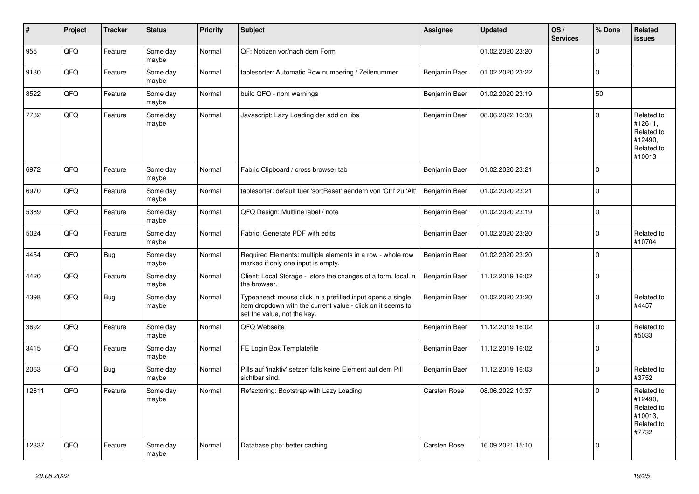| $\vert$ # | <b>Project</b> | <b>Tracker</b> | <b>Status</b>     | <b>Priority</b> | <b>Subject</b>                                                                                                                                           | <b>Assignee</b> | <b>Updated</b>   | OS/<br><b>Services</b> | % Done      | Related<br><b>issues</b>                                               |
|-----------|----------------|----------------|-------------------|-----------------|----------------------------------------------------------------------------------------------------------------------------------------------------------|-----------------|------------------|------------------------|-------------|------------------------------------------------------------------------|
| 955       | QFQ            | Feature        | Some day<br>maybe | Normal          | QF: Notizen vor/nach dem Form                                                                                                                            |                 | 01.02.2020 23:20 |                        | $\mathbf 0$ |                                                                        |
| 9130      | QFQ            | Feature        | Some day<br>maybe | Normal          | tablesorter: Automatic Row numbering / Zeilenummer                                                                                                       | Benjamin Baer   | 01.02.2020 23:22 |                        | $\mathbf 0$ |                                                                        |
| 8522      | QFQ            | Feature        | Some day<br>maybe | Normal          | build QFQ - npm warnings                                                                                                                                 | Benjamin Baer   | 01.02.2020 23:19 |                        | 50          |                                                                        |
| 7732      | QFQ            | Feature        | Some day<br>maybe | Normal          | Javascript: Lazy Loading der add on libs                                                                                                                 | Benjamin Baer   | 08.06.2022 10:38 |                        | $\Omega$    | Related to<br>#12611,<br>Related to<br>#12490,<br>Related to<br>#10013 |
| 6972      | QFQ            | Feature        | Some day<br>maybe | Normal          | Fabric Clipboard / cross browser tab                                                                                                                     | Benjamin Baer   | 01.02.2020 23:21 |                        | $\Omega$    |                                                                        |
| 6970      | QFQ            | Feature        | Some day<br>maybe | Normal          | tablesorter: default fuer 'sortReset' aendern von 'Ctrl' zu 'Alt'                                                                                        | Benjamin Baer   | 01.02.2020 23:21 |                        | $\mathbf 0$ |                                                                        |
| 5389      | QFQ            | Feature        | Some day<br>maybe | Normal          | QFQ Design: Multline label / note                                                                                                                        | Benjamin Baer   | 01.02.2020 23:19 |                        | $\pmb{0}$   |                                                                        |
| 5024      | QFQ            | Feature        | Some day<br>maybe | Normal          | Fabric: Generate PDF with edits                                                                                                                          | Benjamin Baer   | 01.02.2020 23:20 |                        | $\mathbf 0$ | Related to<br>#10704                                                   |
| 4454      | QFQ            | <b>Bug</b>     | Some day<br>maybe | Normal          | Required Elements: multiple elements in a row - whole row<br>marked if only one input is empty.                                                          | Benjamin Baer   | 01.02.2020 23:20 |                        | $\mathbf 0$ |                                                                        |
| 4420      | QFQ            | Feature        | Some day<br>maybe | Normal          | Client: Local Storage - store the changes of a form, local in<br>the browser.                                                                            | Benjamin Baer   | 11.12.2019 16:02 |                        | $\pmb{0}$   |                                                                        |
| 4398      | QFQ            | Bug            | Some day<br>maybe | Normal          | Typeahead: mouse click in a prefilled input opens a single<br>item dropdown with the current value - click on it seems to<br>set the value, not the key. | Benjamin Baer   | 01.02.2020 23:20 |                        | $\Omega$    | Related to<br>#4457                                                    |
| 3692      | QFQ            | Feature        | Some day<br>maybe | Normal          | QFQ Webseite                                                                                                                                             | Benjamin Baer   | 11.12.2019 16:02 |                        | $\mathbf 0$ | Related to<br>#5033                                                    |
| 3415      | QFQ            | Feature        | Some day<br>maybe | Normal          | FE Login Box Templatefile                                                                                                                                | Benjamin Baer   | 11.12.2019 16:02 |                        | $\mathbf 0$ |                                                                        |
| 2063      | QFQ            | Bug            | Some day<br>maybe | Normal          | Pills auf 'inaktiv' setzen falls keine Element auf dem Pill<br>sichtbar sind.                                                                            | Benjamin Baer   | 11.12.2019 16:03 |                        | $\mathbf 0$ | Related to<br>#3752                                                    |
| 12611     | QFQ            | Feature        | Some day<br>maybe | Normal          | Refactoring: Bootstrap with Lazy Loading                                                                                                                 | Carsten Rose    | 08.06.2022 10:37 |                        | $\mathbf 0$ | Related to<br>#12490,<br>Related to<br>#10013.<br>Related to<br>#7732  |
| 12337     | QFQ            | Feature        | Some day<br>maybe | Normal          | Database.php: better caching                                                                                                                             | Carsten Rose    | 16.09.2021 15:10 |                        | $\mathbf 0$ |                                                                        |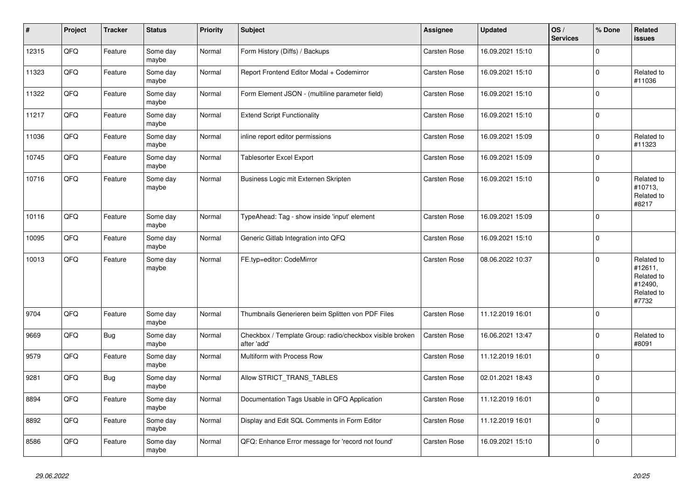| $\vert$ # | Project | <b>Tracker</b> | <b>Status</b>     | <b>Priority</b> | <b>Subject</b>                                                          | Assignee     | <b>Updated</b>   | OS/<br><b>Services</b> | % Done       | Related<br>issues                                                     |
|-----------|---------|----------------|-------------------|-----------------|-------------------------------------------------------------------------|--------------|------------------|------------------------|--------------|-----------------------------------------------------------------------|
| 12315     | QFQ     | Feature        | Some day<br>maybe | Normal          | Form History (Diffs) / Backups                                          | Carsten Rose | 16.09.2021 15:10 |                        | $\Omega$     |                                                                       |
| 11323     | QFQ     | Feature        | Some day<br>maybe | Normal          | Report Frontend Editor Modal + Codemirror                               | Carsten Rose | 16.09.2021 15:10 |                        | $\mathbf 0$  | Related to<br>#11036                                                  |
| 11322     | QFQ     | Feature        | Some day<br>maybe | Normal          | Form Element JSON - (multiline parameter field)                         | Carsten Rose | 16.09.2021 15:10 |                        | $\mathbf{0}$ |                                                                       |
| 11217     | QFQ     | Feature        | Some day<br>maybe | Normal          | <b>Extend Script Functionality</b>                                      | Carsten Rose | 16.09.2021 15:10 |                        | $\Omega$     |                                                                       |
| 11036     | QFQ     | Feature        | Some day<br>maybe | Normal          | inline report editor permissions                                        | Carsten Rose | 16.09.2021 15:09 |                        | $\Omega$     | Related to<br>#11323                                                  |
| 10745     | QFQ     | Feature        | Some day<br>maybe | Normal          | <b>Tablesorter Excel Export</b>                                         | Carsten Rose | 16.09.2021 15:09 |                        | $\Omega$     |                                                                       |
| 10716     | QFQ     | Feature        | Some day<br>maybe | Normal          | Business Logic mit Externen Skripten                                    | Carsten Rose | 16.09.2021 15:10 |                        | $\Omega$     | Related to<br>#10713,<br>Related to<br>#8217                          |
| 10116     | QFQ     | Feature        | Some day<br>maybe | Normal          | TypeAhead: Tag - show inside 'input' element                            | Carsten Rose | 16.09.2021 15:09 |                        | 0 I          |                                                                       |
| 10095     | QFQ     | Feature        | Some day<br>maybe | Normal          | Generic Gitlab Integration into QFQ                                     | Carsten Rose | 16.09.2021 15:10 |                        | $\Omega$     |                                                                       |
| 10013     | QFQ     | Feature        | Some day<br>maybe | Normal          | FE.typ=editor: CodeMirror                                               | Carsten Rose | 08.06.2022 10:37 |                        | $\Omega$     | Related to<br>#12611,<br>Related to<br>#12490,<br>Related to<br>#7732 |
| 9704      | QFQ     | Feature        | Some day<br>maybe | Normal          | Thumbnails Generieren beim Splitten von PDF Files                       | Carsten Rose | 11.12.2019 16:01 |                        | 0 I          |                                                                       |
| 9669      | QFQ     | <b>Bug</b>     | Some day<br>maybe | Normal          | Checkbox / Template Group: radio/checkbox visible broken<br>after 'add' | Carsten Rose | 16.06.2021 13:47 |                        | $\Omega$     | Related to<br>#8091                                                   |
| 9579      | QFQ     | Feature        | Some day<br>maybe | Normal          | Multiform with Process Row                                              | Carsten Rose | 11.12.2019 16:01 |                        | $\mathbf{0}$ |                                                                       |
| 9281      | QFQ     | Bug            | Some day<br>maybe | Normal          | Allow STRICT TRANS TABLES                                               | Carsten Rose | 02.01.2021 18:43 |                        | $\Omega$     |                                                                       |
| 8894      | QFQ     | Feature        | Some day<br>maybe | Normal          | Documentation Tags Usable in QFQ Application                            | Carsten Rose | 11.12.2019 16:01 |                        | $\Omega$     |                                                                       |
| 8892      | QFQ     | Feature        | Some day<br>maybe | Normal          | Display and Edit SQL Comments in Form Editor                            | Carsten Rose | 11.12.2019 16:01 |                        | $\mathbf{0}$ |                                                                       |
| 8586      | QFQ     | Feature        | Some day<br>maybe | Normal          | QFQ: Enhance Error message for 'record not found'                       | Carsten Rose | 16.09.2021 15:10 |                        | $\Omega$     |                                                                       |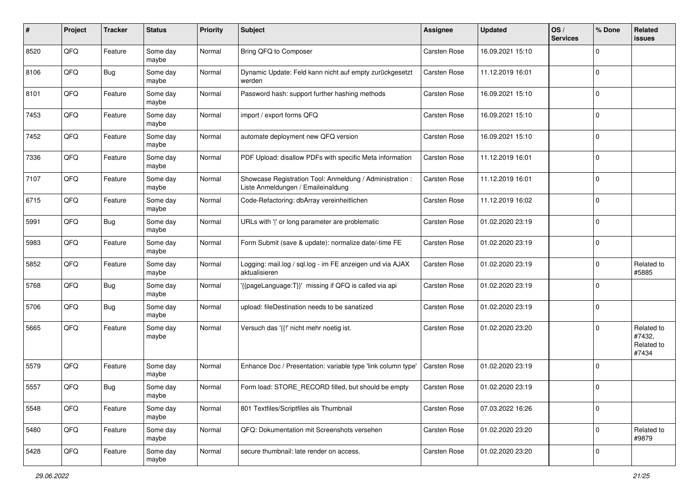| #    | Project | <b>Tracker</b> | <b>Status</b>     | <b>Priority</b> | Subject                                                                                        | Assignee     | <b>Updated</b>   | OS/<br><b>Services</b> | % Done       | Related<br>issues                           |
|------|---------|----------------|-------------------|-----------------|------------------------------------------------------------------------------------------------|--------------|------------------|------------------------|--------------|---------------------------------------------|
| 8520 | QFQ     | Feature        | Some day<br>maybe | Normal          | Bring QFQ to Composer                                                                          | Carsten Rose | 16.09.2021 15:10 |                        | <sup>0</sup> |                                             |
| 8106 | QFQ     | Bug            | Some day<br>maybe | Normal          | Dynamic Update: Feld kann nicht auf empty zurückgesetzt<br>werden                              | Carsten Rose | 11.12.2019 16:01 |                        | 0            |                                             |
| 8101 | QFQ     | Feature        | Some day<br>maybe | Normal          | Password hash: support further hashing methods                                                 | Carsten Rose | 16.09.2021 15:10 |                        | $\Omega$     |                                             |
| 7453 | QFQ     | Feature        | Some day<br>maybe | Normal          | import / export forms QFQ                                                                      | Carsten Rose | 16.09.2021 15:10 |                        | $\Omega$     |                                             |
| 7452 | QFQ     | Feature        | Some day<br>maybe | Normal          | automate deployment new QFQ version                                                            | Carsten Rose | 16.09.2021 15:10 |                        | $\Omega$     |                                             |
| 7336 | QFQ     | Feature        | Some day<br>maybe | Normal          | PDF Upload: disallow PDFs with specific Meta information                                       | Carsten Rose | 11.12.2019 16:01 |                        | $\Omega$     |                                             |
| 7107 | QFQ     | Feature        | Some day<br>maybe | Normal          | Showcase Registration Tool: Anmeldung / Administration :<br>Liste Anmeldungen / Emaileinaldung | Carsten Rose | 11.12.2019 16:01 |                        | $\Omega$     |                                             |
| 6715 | QFQ     | Feature        | Some day<br>maybe | Normal          | Code-Refactoring: dbArray vereinheitlichen                                                     | Carsten Rose | 11.12.2019 16:02 |                        | 0            |                                             |
| 5991 | QFQ     | Bug            | Some day<br>maybe | Normal          | URLs with ' ' or long parameter are problematic                                                | Carsten Rose | 01.02.2020 23:19 |                        | $\mathbf 0$  |                                             |
| 5983 | QFQ     | Feature        | Some day<br>maybe | Normal          | Form Submit (save & update): normalize date/-time FE                                           | Carsten Rose | 01.02.2020 23:19 |                        | 0            |                                             |
| 5852 | QFQ     | Feature        | Some day<br>maybe | Normal          | Logging: mail.log / sql.log - im FE anzeigen und via AJAX<br>aktualisieren                     | Carsten Rose | 01.02.2020 23:19 |                        | $\Omega$     | Related to<br>#5885                         |
| 5768 | QFQ     | Bug            | Some day<br>maybe | Normal          | '{{pageLanguage:T}}' missing if QFQ is called via api                                          | Carsten Rose | 01.02.2020 23:19 |                        | $\Omega$     |                                             |
| 5706 | QFQ     | <b>Bug</b>     | Some day<br>maybe | Normal          | upload: fileDestination needs to be sanatized                                                  | Carsten Rose | 01.02.2020 23:19 |                        | $\Omega$     |                                             |
| 5665 | QFQ     | Feature        | Some day<br>maybe | Normal          | Versuch das '{{!' nicht mehr noetig ist.                                                       | Carsten Rose | 01.02.2020 23:20 |                        | $\Omega$     | Related to<br>#7432,<br>Related to<br>#7434 |
| 5579 | QFQ     | Feature        | Some day<br>maybe | Normal          | Enhance Doc / Presentation: variable type 'link column type'                                   | Carsten Rose | 01.02.2020 23:19 |                        | $\Omega$     |                                             |
| 5557 | QFQ     | <b>Bug</b>     | Some day<br>maybe | Normal          | Form load: STORE_RECORD filled, but should be empty                                            | Carsten Rose | 01.02.2020 23:19 |                        | $\Omega$     |                                             |
| 5548 | QFQ     | Feature        | Some day<br>maybe | Normal          | 801 Textfiles/Scriptfiles als Thumbnail                                                        | Carsten Rose | 07.03.2022 16:26 |                        | 0            |                                             |
| 5480 | QFQ     | Feature        | Some day<br>maybe | Normal          | QFQ: Dokumentation mit Screenshots versehen                                                    | Carsten Rose | 01.02.2020 23:20 |                        | $\Omega$     | Related to<br>#9879                         |
| 5428 | QFQ     | Feature        | Some day<br>maybe | Normal          | secure thumbnail: late render on access.                                                       | Carsten Rose | 01.02.2020 23:20 |                        | $\mathbf 0$  |                                             |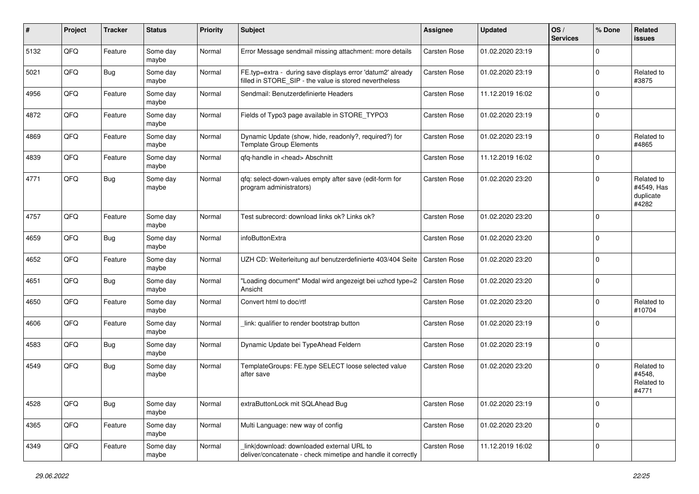| ∦    | Project | <b>Tracker</b> | <b>Status</b>     | <b>Priority</b> | <b>Subject</b>                                                                                                       | Assignee            | <b>Updated</b>   | OS/<br><b>Services</b> | % Done       | Related<br>issues                              |
|------|---------|----------------|-------------------|-----------------|----------------------------------------------------------------------------------------------------------------------|---------------------|------------------|------------------------|--------------|------------------------------------------------|
| 5132 | QFQ     | Feature        | Some day<br>maybe | Normal          | Error Message sendmail missing attachment: more details                                                              | Carsten Rose        | 01.02.2020 23:19 |                        | $\Omega$     |                                                |
| 5021 | QFQ     | <b>Bug</b>     | Some day<br>maybe | Normal          | FE.typ=extra - during save displays error 'datum2' already<br>filled in STORE_SIP - the value is stored nevertheless | Carsten Rose        | 01.02.2020 23:19 |                        | $\Omega$     | Related to<br>#3875                            |
| 4956 | QFQ     | Feature        | Some day<br>maybe | Normal          | Sendmail: Benutzerdefinierte Headers                                                                                 | Carsten Rose        | 11.12.2019 16:02 |                        | $\Omega$     |                                                |
| 4872 | QFQ     | Feature        | Some day<br>maybe | Normal          | Fields of Typo3 page available in STORE_TYPO3                                                                        | Carsten Rose        | 01.02.2020 23:19 |                        | $\mathbf{0}$ |                                                |
| 4869 | QFQ     | Feature        | Some day<br>maybe | Normal          | Dynamic Update (show, hide, readonly?, required?) for<br><b>Template Group Elements</b>                              | Carsten Rose        | 01.02.2020 23:19 |                        | $\Omega$     | Related to<br>#4865                            |
| 4839 | QFQ     | Feature        | Some day<br>maybe | Normal          | qfq-handle in <head> Abschnitt</head>                                                                                | Carsten Rose        | 11.12.2019 16:02 |                        | $\Omega$     |                                                |
| 4771 | QFQ     | Bug            | Some day<br>maybe | Normal          | qfq: select-down-values empty after save (edit-form for<br>program administrators)                                   | Carsten Rose        | 01.02.2020 23:20 |                        | $\Omega$     | Related to<br>#4549, Has<br>duplicate<br>#4282 |
| 4757 | QFQ     | Feature        | Some day<br>maybe | Normal          | Test subrecord: download links ok? Links ok?                                                                         | Carsten Rose        | 01.02.2020 23:20 |                        | $\mathbf{0}$ |                                                |
| 4659 | QFQ     | Bug            | Some day<br>maybe | Normal          | infoButtonExtra                                                                                                      | Carsten Rose        | 01.02.2020 23:20 |                        | $\Omega$     |                                                |
| 4652 | QFQ     | Feature        | Some day<br>maybe | Normal          | UZH CD: Weiterleitung auf benutzerdefinierte 403/404 Seite                                                           | <b>Carsten Rose</b> | 01.02.2020 23:20 |                        | $\mathbf 0$  |                                                |
| 4651 | QFQ     | Bug            | Some day<br>maybe | Normal          | "Loading document" Modal wird angezeigt bei uzhcd type=2<br>Ansicht                                                  | <b>Carsten Rose</b> | 01.02.2020 23:20 |                        | $\mathbf 0$  |                                                |
| 4650 | QFQ     | Feature        | Some day<br>maybe | Normal          | Convert html to doc/rtf                                                                                              | Carsten Rose        | 01.02.2020 23:20 |                        | $\Omega$     | Related to<br>#10704                           |
| 4606 | QFQ     | Feature        | Some day<br>maybe | Normal          | link: qualifier to render bootstrap button                                                                           | Carsten Rose        | 01.02.2020 23:19 |                        | $\Omega$     |                                                |
| 4583 | QFQ     | <b>Bug</b>     | Some day<br>maybe | Normal          | Dynamic Update bei TypeAhead Feldern                                                                                 | Carsten Rose        | 01.02.2020 23:19 |                        | $\Omega$     |                                                |
| 4549 | QFQ     | <b>Bug</b>     | Some day<br>maybe | Normal          | TemplateGroups: FE.type SELECT loose selected value<br>after save                                                    | Carsten Rose        | 01.02.2020 23:20 |                        | $\Omega$     | Related to<br>#4548,<br>Related to<br>#4771    |
| 4528 | QFQ     | Bug            | Some day<br>maybe | Normal          | extraButtonLock mit SQLAhead Bug                                                                                     | Carsten Rose        | 01.02.2020 23:19 |                        | $\mathbf 0$  |                                                |
| 4365 | QFQ     | Feature        | Some day<br>maybe | Normal          | Multi Language: new way of config                                                                                    | Carsten Rose        | 01.02.2020 23:20 |                        | $\mathbf 0$  |                                                |
| 4349 | QFG     | Feature        | Some day<br>maybe | Normal          | link download: downloaded external URL to<br>deliver/concatenate - check mimetipe and handle it correctly            | Carsten Rose        | 11.12.2019 16:02 |                        | $\Omega$     |                                                |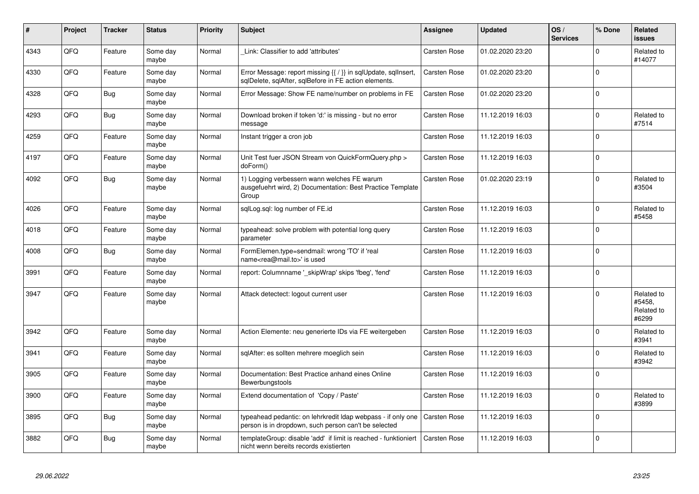| #    | Project | <b>Tracker</b> | <b>Status</b>     | <b>Priority</b> | <b>Subject</b>                                                                                                          | Assignee            | <b>Updated</b>   | OS/<br><b>Services</b> | % Done      | Related<br><b>issues</b>                    |
|------|---------|----------------|-------------------|-----------------|-------------------------------------------------------------------------------------------------------------------------|---------------------|------------------|------------------------|-------------|---------------------------------------------|
| 4343 | QFQ     | Feature        | Some day<br>maybe | Normal          | Link: Classifier to add 'attributes'                                                                                    | Carsten Rose        | 01.02.2020 23:20 |                        | $\Omega$    | Related to<br>#14077                        |
| 4330 | QFQ     | Feature        | Some day<br>maybe | Normal          | Error Message: report missing {{ / }} in sqlUpdate, sqlInsert,<br>sqlDelete, sqlAfter, sqlBefore in FE action elements. | Carsten Rose        | 01.02.2020 23:20 |                        | $\Omega$    |                                             |
| 4328 | QFQ     | <b>Bug</b>     | Some day<br>maybe | Normal          | Error Message: Show FE name/number on problems in FE                                                                    | Carsten Rose        | 01.02.2020 23:20 |                        | $\Omega$    |                                             |
| 4293 | QFQ     | <b>Bug</b>     | Some day<br>maybe | Normal          | Download broken if token 'd:' is missing - but no error<br>message                                                      | Carsten Rose        | 11.12.2019 16:03 |                        | $\Omega$    | Related to<br>#7514                         |
| 4259 | QFQ     | Feature        | Some day<br>maybe | Normal          | Instant trigger a cron job                                                                                              | Carsten Rose        | 11.12.2019 16:03 |                        | $\mathbf 0$ |                                             |
| 4197 | QFQ     | Feature        | Some day<br>maybe | Normal          | Unit Test fuer JSON Stream von QuickFormQuery.php ><br>doForm()                                                         | <b>Carsten Rose</b> | 11.12.2019 16:03 |                        | $\mathbf 0$ |                                             |
| 4092 | QFQ     | Bug            | Some day<br>maybe | Normal          | 1) Logging verbessern wann welches FE warum<br>ausgefuehrt wird, 2) Documentation: Best Practice Template<br>Group      | Carsten Rose        | 01.02.2020 23:19 |                        | $\Omega$    | Related to<br>#3504                         |
| 4026 | QFQ     | Feature        | Some day<br>maybe | Normal          | sglLog.sgl: log number of FE.id                                                                                         | Carsten Rose        | 11.12.2019 16:03 |                        | $\Omega$    | Related to<br>#5458                         |
| 4018 | QFQ     | Feature        | Some day<br>maybe | Normal          | typeahead: solve problem with potential long query<br>parameter                                                         | <b>Carsten Rose</b> | 11.12.2019 16:03 |                        | $\Omega$    |                                             |
| 4008 | QFQ     | <b>Bug</b>     | Some day<br>maybe | Normal          | FormElemen.type=sendmail: wrong 'TO' if 'real<br>name <rea@mail.to>' is used</rea@mail.to>                              | <b>Carsten Rose</b> | 11.12.2019 16:03 |                        | $\mathbf 0$ |                                             |
| 3991 | QFQ     | Feature        | Some day<br>maybe | Normal          | report: Columnname '_skipWrap' skips 'fbeg', 'fend'                                                                     | Carsten Rose        | 11.12.2019 16:03 |                        | $\Omega$    |                                             |
| 3947 | QFQ     | Feature        | Some day<br>maybe | Normal          | Attack detectect: logout current user                                                                                   | Carsten Rose        | 11.12.2019 16:03 |                        | $\Omega$    | Related to<br>#5458.<br>Related to<br>#6299 |
| 3942 | QFQ     | Feature        | Some day<br>maybe | Normal          | Action Elemente: neu generierte IDs via FE weitergeben                                                                  | <b>Carsten Rose</b> | 11.12.2019 16:03 |                        | $\mathbf 0$ | Related to<br>#3941                         |
| 3941 | QFQ     | Feature        | Some day<br>maybe | Normal          | sqlAfter: es sollten mehrere moeglich sein                                                                              | <b>Carsten Rose</b> | 11.12.2019 16:03 |                        | $\Omega$    | Related to<br>#3942                         |
| 3905 | QFQ     | Feature        | Some day<br>maybe | Normal          | Documentation: Best Practice anhand eines Online<br>Bewerbungstools                                                     | Carsten Rose        | 11.12.2019 16:03 |                        | $\Omega$    |                                             |
| 3900 | QFQ     | Feature        | Some day<br>maybe | Normal          | Extend documentation of 'Copy / Paste'                                                                                  | Carsten Rose        | 11.12.2019 16:03 |                        | $\mathbf 0$ | Related to<br>#3899                         |
| 3895 | QFQ     | <b>Bug</b>     | Some day<br>maybe | Normal          | typeahead pedantic: on lehrkredit Idap webpass - if only one<br>person is in dropdown, such person can't be selected    | Carsten Rose        | 11.12.2019 16:03 |                        | $\mathbf 0$ |                                             |
| 3882 | QFQ     | <b>Bug</b>     | Some day<br>maybe | Normal          | templateGroup: disable 'add' if limit is reached - funktioniert<br>nicht wenn bereits records existierten               | <b>Carsten Rose</b> | 11.12.2019 16:03 |                        | $\Omega$    |                                             |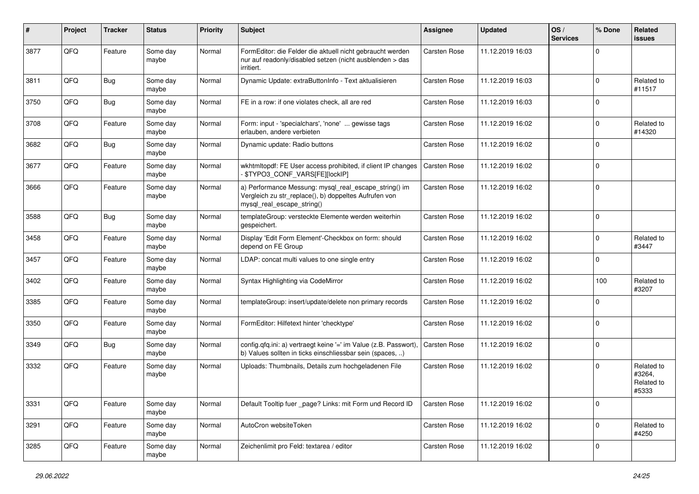| ∦    | Project | <b>Tracker</b> | <b>Status</b>     | <b>Priority</b> | Subject                                                                                                                                      | <b>Assignee</b> | <b>Updated</b>   | OS/<br><b>Services</b> | % Done      | Related<br>issues                           |
|------|---------|----------------|-------------------|-----------------|----------------------------------------------------------------------------------------------------------------------------------------------|-----------------|------------------|------------------------|-------------|---------------------------------------------|
| 3877 | QFQ     | Feature        | Some day<br>maybe | Normal          | FormEditor: die Felder die aktuell nicht gebraucht werden<br>nur auf readonly/disabled setzen (nicht ausblenden > das<br>irritiert.          | Carsten Rose    | 11.12.2019 16:03 |                        | $\mathbf 0$ |                                             |
| 3811 | QFQ     | Bug            | Some day<br>maybe | Normal          | Dynamic Update: extraButtonInfo - Text aktualisieren                                                                                         | Carsten Rose    | 11.12.2019 16:03 |                        | $\mathbf 0$ | Related to<br>#11517                        |
| 3750 | QFQ     | <b>Bug</b>     | Some day<br>maybe | Normal          | FE in a row: if one violates check, all are red                                                                                              | Carsten Rose    | 11.12.2019 16:03 |                        | $\mathbf 0$ |                                             |
| 3708 | QFQ     | Feature        | Some day<br>maybe | Normal          | Form: input - 'specialchars', 'none'  gewisse tags<br>erlauben, andere verbieten                                                             | Carsten Rose    | 11.12.2019 16:02 |                        | $\Omega$    | Related to<br>#14320                        |
| 3682 | QFQ     | <b>Bug</b>     | Some day<br>maybe | Normal          | Dynamic update: Radio buttons                                                                                                                | Carsten Rose    | 11.12.2019 16:02 |                        | $\Omega$    |                                             |
| 3677 | QFQ     | Feature        | Some day<br>maybe | Normal          | wkhtmltopdf: FE User access prohibited, if client IP changes<br>- \$TYPO3_CONF_VARS[FE][lockIP]                                              | Carsten Rose    | 11.12.2019 16:02 |                        | $\Omega$    |                                             |
| 3666 | QFQ     | Feature        | Some day<br>maybe | Normal          | a) Performance Messung: mysql_real_escape_string() im<br>Vergleich zu str_replace(), b) doppeltes Aufrufen von<br>mysql_real_escape_string() | Carsten Rose    | 11.12.2019 16:02 |                        | $\Omega$    |                                             |
| 3588 | QFQ     | Bug            | Some day<br>maybe | Normal          | templateGroup: versteckte Elemente werden weiterhin<br>gespeichert.                                                                          | Carsten Rose    | 11.12.2019 16:02 |                        | $\Omega$    |                                             |
| 3458 | QFQ     | Feature        | Some day<br>maybe | Normal          | Display 'Edit Form Element'-Checkbox on form: should<br>depend on FE Group                                                                   | Carsten Rose    | 11.12.2019 16:02 |                        | $\Omega$    | Related to<br>#3447                         |
| 3457 | QFQ     | Feature        | Some day<br>maybe | Normal          | LDAP: concat multi values to one single entry                                                                                                | Carsten Rose    | 11.12.2019 16:02 |                        | $\mathbf 0$ |                                             |
| 3402 | QFQ     | Feature        | Some day<br>maybe | Normal          | Syntax Highlighting via CodeMirror                                                                                                           | Carsten Rose    | 11.12.2019 16:02 |                        | 100         | Related to<br>#3207                         |
| 3385 | QFQ     | Feature        | Some day<br>maybe | Normal          | templateGroup: insert/update/delete non primary records                                                                                      | Carsten Rose    | 11.12.2019 16:02 |                        | $\Omega$    |                                             |
| 3350 | QFQ     | Feature        | Some day<br>maybe | Normal          | FormEditor: Hilfetext hinter 'checktype'                                                                                                     | Carsten Rose    | 11.12.2019 16:02 |                        | $\mathbf 0$ |                                             |
| 3349 | QFQ     | Bug            | Some day<br>maybe | Normal          | config.qfq.ini: a) vertraegt keine '=' im Value (z.B. Passwort),<br>b) Values sollten in ticks einschliessbar sein (spaces, )                | Carsten Rose    | 11.12.2019 16:02 |                        | $\mathbf 0$ |                                             |
| 3332 | QFQ     | Feature        | Some day<br>maybe | Normal          | Uploads: Thumbnails, Details zum hochgeladenen File                                                                                          | Carsten Rose    | 11.12.2019 16:02 |                        | $\mathbf 0$ | Related to<br>#3264,<br>Related to<br>#5333 |
| 3331 | QFG     | Feature        | Some day<br>maybe | Normal          | Default Tooltip fuer _page? Links: mit Form und Record ID                                                                                    | Carsten Rose    | 11.12.2019 16:02 |                        | 0           |                                             |
| 3291 | QFQ     | Feature        | Some day<br>maybe | Normal          | AutoCron websiteToken                                                                                                                        | Carsten Rose    | 11.12.2019 16:02 |                        | $\mathbf 0$ | Related to<br>#4250                         |
| 3285 | QFQ     | Feature        | Some day<br>maybe | Normal          | Zeichenlimit pro Feld: textarea / editor                                                                                                     | Carsten Rose    | 11.12.2019 16:02 |                        | 0           |                                             |